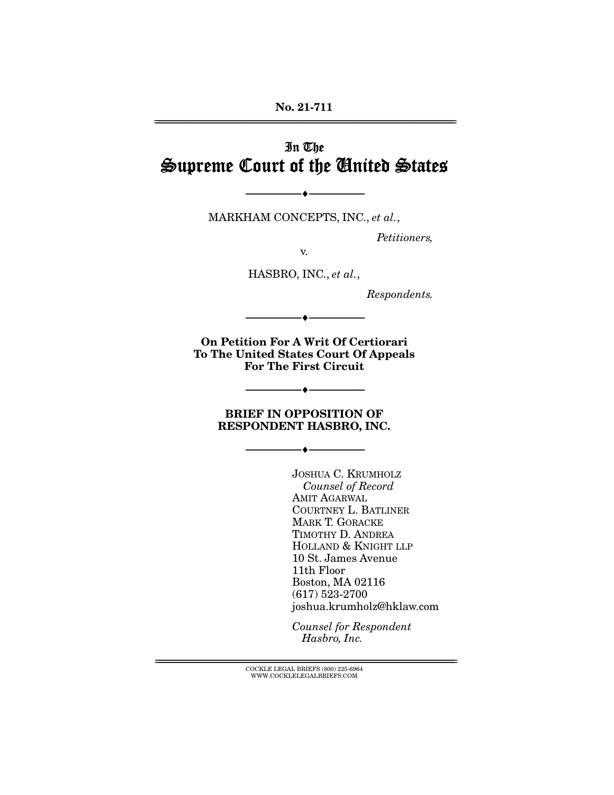#### **No. 21-711**  ================================================================================================================

# In The Supreme Court of the United States

MARKHAM CONCEPTS, INC., *et al.*,

 $\overbrace{\hspace{2.5cm}}$   $\overbrace{\hspace{2.5cm}}$ 

*Petitioners,* 

v.

HASBRO, INC., *et al.*,

*Respondents.* 

**On Petition For A Writ Of Certiorari To The United States Court Of Appeals For The First Circuit** 

--------------------------------- ♦ ---------------------------------

#### **BRIEF IN OPPOSITION OF RESPONDENT HASBRO, INC.**

--------------------------------- ♦ ---------------------------------

--------------------------------- ♦ ---------------------------------

JOSHUA C. KRUMHOLZ *Counsel of Record* AMIT AGARWAL COURTNEY L. BATLINER MARK T. GORACKE TIMOTHY D. ANDREA HOLLAND & KNIGHT LLP 10 St. James Avenue 11th Floor Boston, MA 02116 (617) 523-2700 joshua.krumholz@hklaw.com

*Counsel for Respondent Hasbro, Inc.*

================================================================================================================ COCKLE LEGAL BRIEFS (800) 225-6964 WWW.COCKLELEGALBRIEFS.COM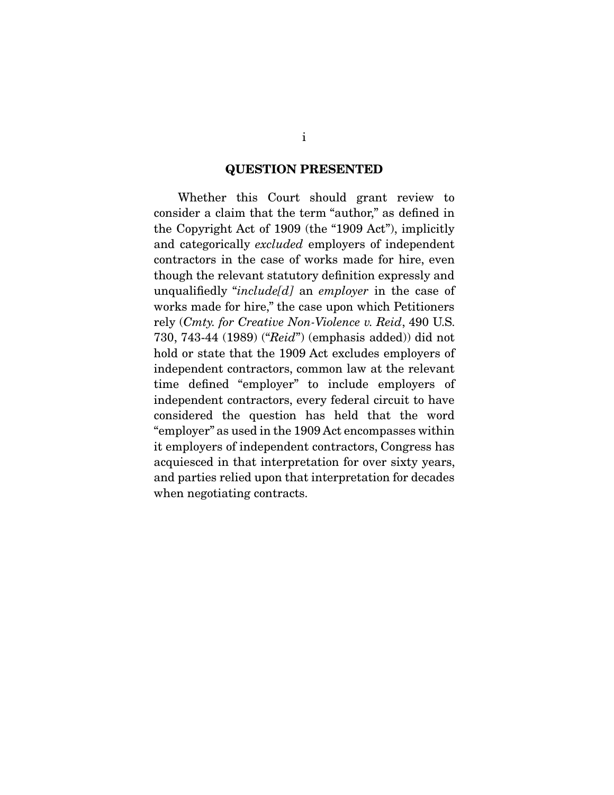#### **QUESTION PRESENTED**

 Whether this Court should grant review to consider a claim that the term "author," as defined in the Copyright Act of 1909 (the "1909 Act"), implicitly and categorically *excluded* employers of independent contractors in the case of works made for hire, even though the relevant statutory definition expressly and unqualifiedly "*include[d]* an *employer* in the case of works made for hire," the case upon which Petitioners rely (*Cmty. for Creative Non-Violence v. Reid*, 490 U.S. 730, 743-44 (1989) ("*Reid*") (emphasis added)) did not hold or state that the 1909 Act excludes employers of independent contractors, common law at the relevant time defined "employer" to include employers of independent contractors, every federal circuit to have considered the question has held that the word "employer" as used in the 1909 Act encompasses within it employers of independent contractors, Congress has acquiesced in that interpretation for over sixty years, and parties relied upon that interpretation for decades when negotiating contracts.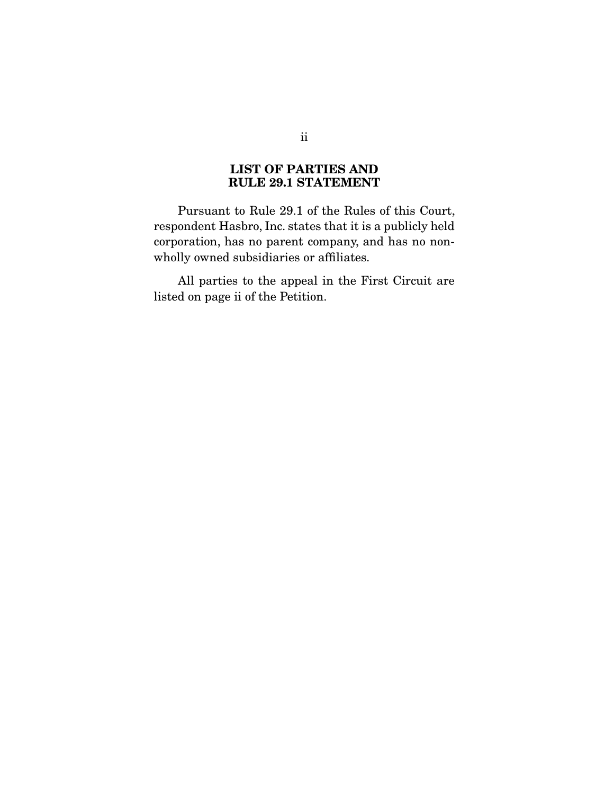## **LIST OF PARTIES AND RULE 29.1 STATEMENT**

 Pursuant to Rule 29.1 of the Rules of this Court, respondent Hasbro, Inc. states that it is a publicly held corporation, has no parent company, and has no nonwholly owned subsidiaries or affiliates.

 All parties to the appeal in the First Circuit are listed on page ii of the Petition.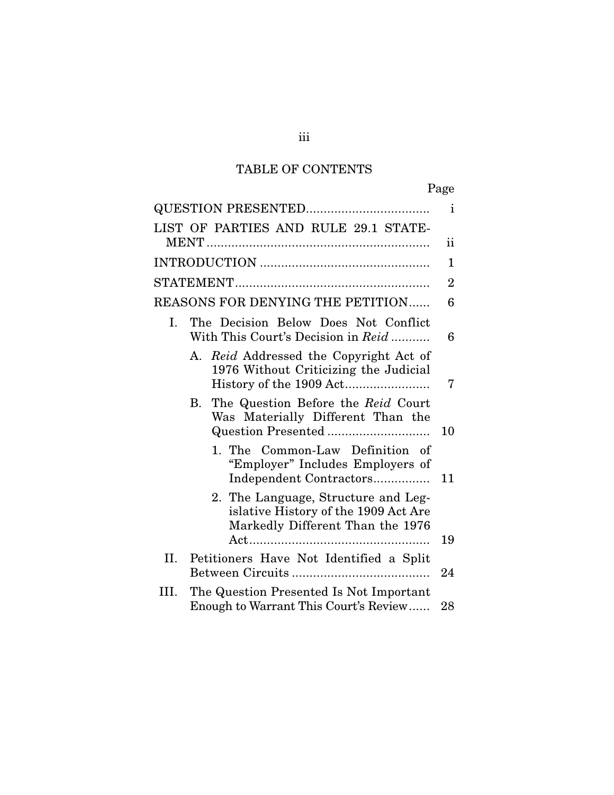## TABLE OF CONTENTS

|                                                                                                                 | $\mathbf{i}$   |
|-----------------------------------------------------------------------------------------------------------------|----------------|
| LIST OF PARTIES AND RULE 29.1 STATE-                                                                            |                |
|                                                                                                                 | ii             |
|                                                                                                                 | 1              |
|                                                                                                                 | $\overline{2}$ |
| <b>REASONS FOR DENYING THE PETITION</b>                                                                         | 6              |
| The Decision Below Does Not Conflict<br>Ι.<br>With This Court's Decision in Reid                                | 6              |
| A. Reid Addressed the Copyright Act of<br>1976 Without Criticizing the Judicial                                 | 7              |
| The Question Before the Reid Court<br>В.<br>Was Materially Different Than the                                   | 10             |
| 1. The Common-Law Definition of<br>"Employer" Includes Employers of<br>Independent Contractors                  | 11             |
| 2. The Language, Structure and Leg-<br>islative History of the 1909 Act Are<br>Markedly Different Than the 1976 | 19             |
| II.                                                                                                             |                |
| Petitioners Have Not Identified a Split                                                                         | 24             |
| The Question Presented Is Not Important<br>III.<br>Enough to Warrant This Court's Review                        | 28             |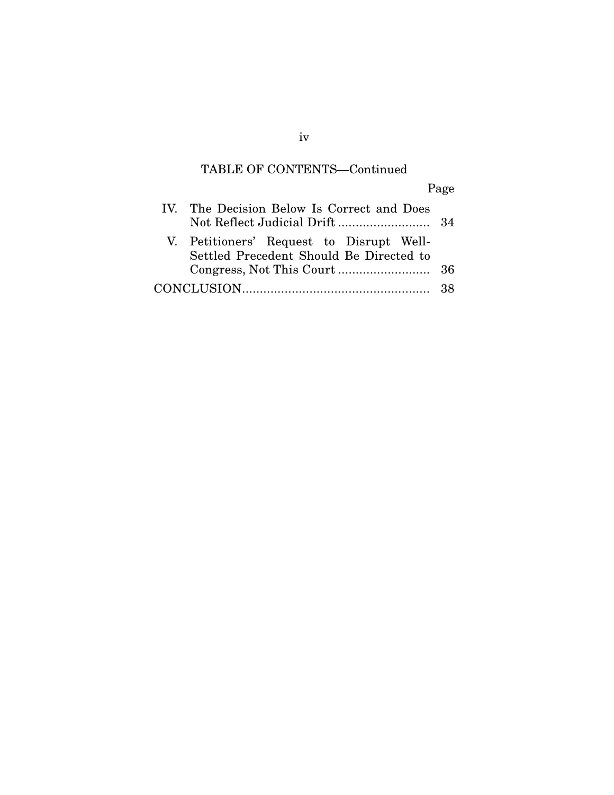## TABLE OF CONTENTS—Continued

Page

| IV. The Decision Below Is Correct and Does                                          |  |  |
|-------------------------------------------------------------------------------------|--|--|
| V. Petitioners' Request to Disrupt Well-<br>Settled Precedent Should Be Directed to |  |  |
|                                                                                     |  |  |
|                                                                                     |  |  |

iv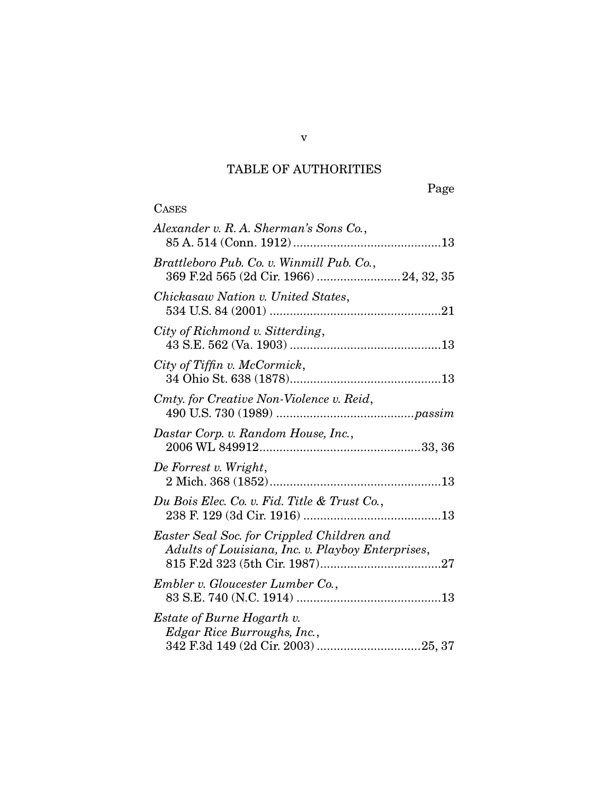# TABLE OF AUTHORITIES

**CASES** 

Page

| Alexander v. R. A. Sherman's Sons Co.,                                                          |
|-------------------------------------------------------------------------------------------------|
| Brattleboro Pub. Co. v. Winmill Pub. Co.,<br>369 F.2d 565 (2d Cir. 1966)  24, 32, 35            |
| Chickasaw Nation v. United States,                                                              |
| City of Richmond v. Sitterding,                                                                 |
| City of Tiffin v. McCormick,                                                                    |
| Cmty. for Creative Non-Violence v. Reid,                                                        |
| Dastar Corp. v. Random House, Inc.,                                                             |
| De Forrest v. Wright,                                                                           |
| Du Bois Elec. Co. v. Fid. Title & Trust Co.,                                                    |
| Easter Seal Soc. for Crippled Children and<br>Adults of Louisiana, Inc. v. Playboy Enterprises, |
| Embler v. Gloucester Lumber Co.,                                                                |
| <i>Estate of Burne Hogarth v.</i><br>Edgar Rice Burroughs, Inc.,                                |

v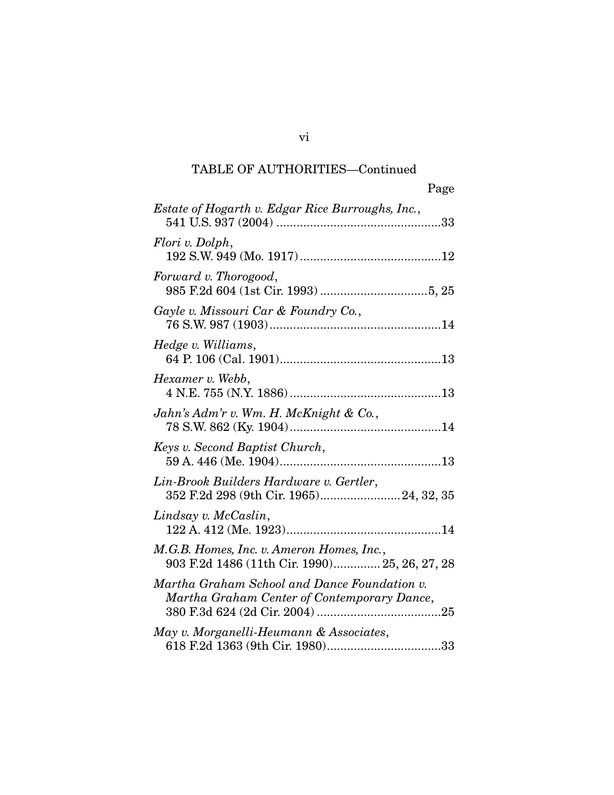| Page                                                                                        |
|---------------------------------------------------------------------------------------------|
| Estate of Hogarth v. Edgar Rice Burroughs, Inc.,<br>33                                      |
| Flori v. Dolph,                                                                             |
| Forward v. Thorogood,                                                                       |
| Gayle v. Missouri Car & Foundry Co.,                                                        |
| Hedge v. Williams,                                                                          |
| Hexamer v. Webb,                                                                            |
| Jahn's Adm'r v. Wm. H. McKnight & Co.,                                                      |
| Keys v. Second Baptist Church,                                                              |
| Lin-Brook Builders Hardware v. Gertler,<br>352 F.2d 298 (9th Cir. 1965) 24, 32, 35          |
| Lindsay v. McCaslin,                                                                        |
| M.G.B. Homes, Inc. v. Ameron Homes, Inc.,<br>903 F.2d 1486 (11th Cir. 1990) 25, 26, 27, 28  |
| Martha Graham School and Dance Foundation v.<br>Martha Graham Center of Contemporary Dance, |
| May v. Morganelli-Heumann & Associates,                                                     |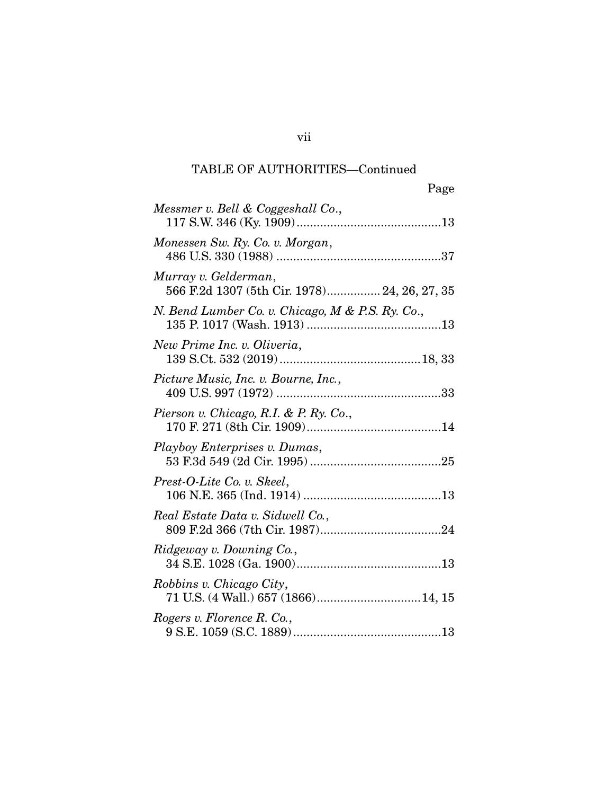| Page                                                                 |
|----------------------------------------------------------------------|
| Messmer v. Bell & Coggeshall Co.,                                    |
| Monessen Sw. Ry. Co. v. Morgan,                                      |
| Murray v. Gelderman,<br>566 F.2d 1307 (5th Cir. 1978) 24, 26, 27, 35 |
| N. Bend Lumber Co. v. Chicago, M & P.S. Ry. Co.,                     |
| New Prime Inc. v. Oliveria,                                          |
| Picture Music, Inc. v. Bourne, Inc.,                                 |
| Pierson v. Chicago, R.I. & P. Ry. Co.,                               |
| Playboy Enterprises v. Dumas,                                        |
| Prest-O-Lite Co. v. Skeel,                                           |
| Real Estate Data v. Sidwell Co.,                                     |
| Ridgeway v. Downing Co.,                                             |
| Robbins v. Chicago City,<br>71 U.S. (4 Wall.) 657 (1866) 14, 15      |
| Rogers v. Florence R. Co.,                                           |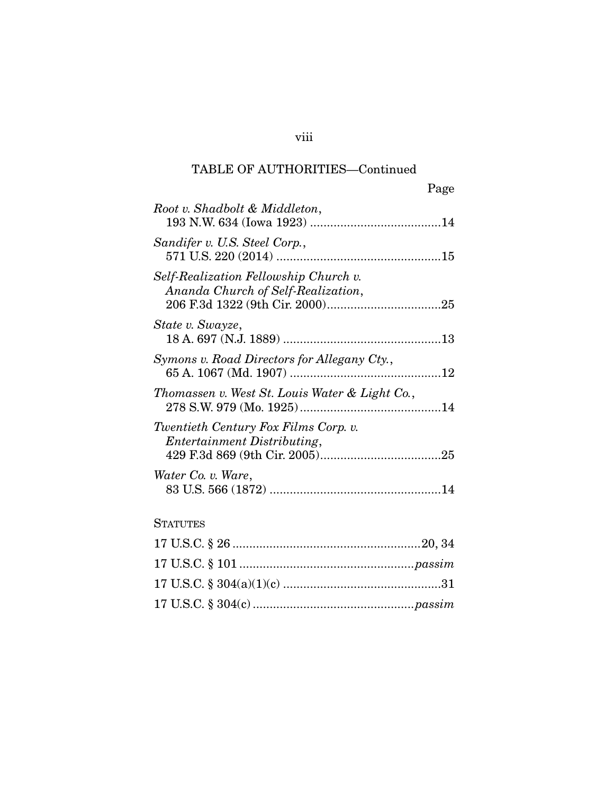|                                                                             | Page |
|-----------------------------------------------------------------------------|------|
| Root v. Shadbolt & Middleton,                                               |      |
| Sandifer v. U.S. Steel Corp.,                                               |      |
| Self-Realization Fellowship Church v.<br>Ananda Church of Self-Realization, |      |
| State v. Swayze,                                                            |      |
| Symons v. Road Directors for Allegany Cty.,                                 |      |
| Thomassen v. West St. Louis Water & Light Co.,                              |      |
| Twentieth Century Fox Films Corp. v.<br>Entertainment Distributing,         |      |
| Water Co. v. Ware,                                                          |      |

## **STATUTES**

## viii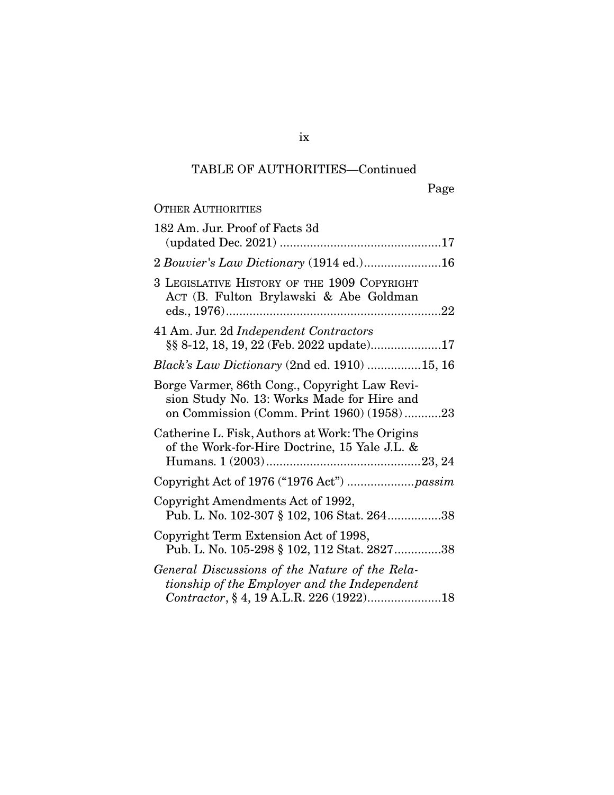Page

| <b>OTHER AUTHORITIES</b>                                                                                                                  |
|-------------------------------------------------------------------------------------------------------------------------------------------|
| 182 Am. Jur. Proof of Facts 3d                                                                                                            |
| 2 Bouvier's Law Dictionary (1914 ed.)16                                                                                                   |
| 3 LEGISLATIVE HISTORY OF THE 1909 COPYRIGHT<br>ACT (B. Fulton Brylawski & Abe Goldman                                                     |
| 41 Am. Jur. 2d Independent Contractors                                                                                                    |
| Black's Law Dictionary (2nd ed. 1910) 15, 16                                                                                              |
| Borge Varmer, 86th Cong., Copyright Law Revi-<br>sion Study No. 13: Works Made for Hire and<br>on Commission (Comm. Print 1960) (1958)23  |
| Catherine L. Fisk, Authors at Work: The Origins<br>of the Work-for-Hire Doctrine, 15 Yale J.L. &                                          |
|                                                                                                                                           |
| Copyright Amendments Act of 1992,<br>Pub. L. No. 102-307 § 102, 106 Stat. 26438                                                           |
| Copyright Term Extension Act of 1998,<br>Pub. L. No. 105-298 § 102, 112 Stat. 282738                                                      |
| General Discussions of the Nature of the Rela-<br>tionship of the Employer and the Independent<br>Contractor, § 4, 19 A.L.R. 226 (1922)18 |

ix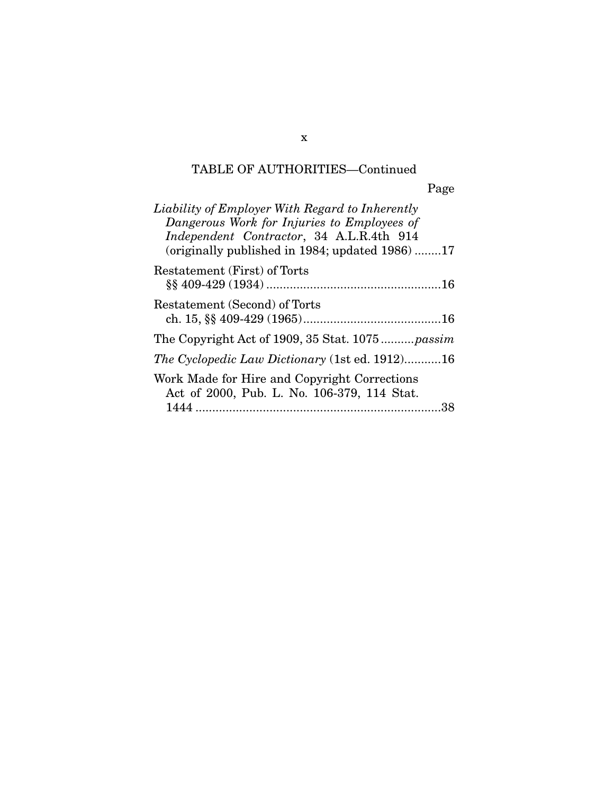| Liability of Employer With Regard to Inherently<br>Dangerous Work for Injuries to Employees of<br>Independent Contractor, 34 A.L.R.4th 914<br>(originally published in 1984; updated 1986)17 |
|----------------------------------------------------------------------------------------------------------------------------------------------------------------------------------------------|
| Restatement (First) of Torts                                                                                                                                                                 |
| Restatement (Second) of Torts                                                                                                                                                                |
| The Copyright Act of 1909, 35 Stat. 1075 passim                                                                                                                                              |
| <i>The Cyclopedic Law Dictionary</i> (1st ed. 1912)16                                                                                                                                        |
| Work Made for Hire and Copyright Corrections<br>Act of 2000, Pub. L. No. 106-379, 114 Stat.                                                                                                  |
| 38                                                                                                                                                                                           |

x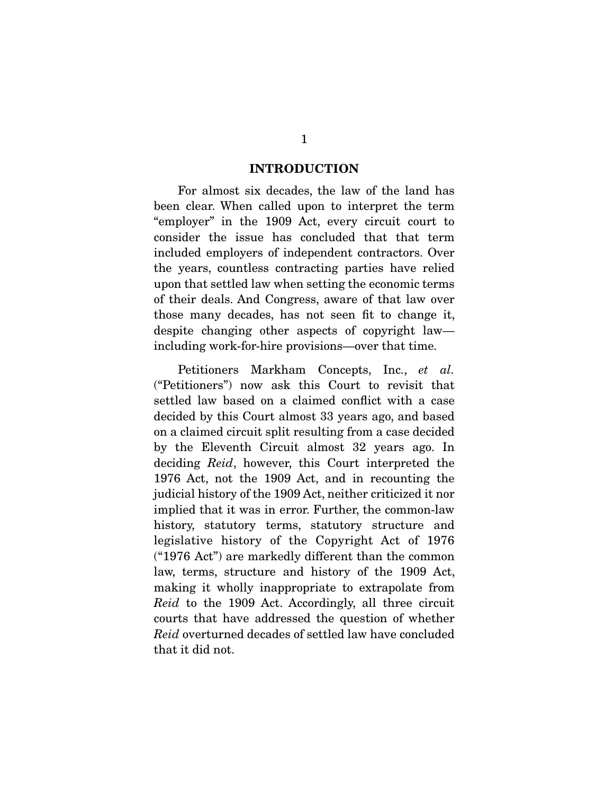#### **INTRODUCTION**

 For almost six decades, the law of the land has been clear. When called upon to interpret the term "employer" in the 1909 Act, every circuit court to consider the issue has concluded that that term included employers of independent contractors. Over the years, countless contracting parties have relied upon that settled law when setting the economic terms of their deals. And Congress, aware of that law over those many decades, has not seen fit to change it, despite changing other aspects of copyright law including work-for-hire provisions—over that time.

 Petitioners Markham Concepts, Inc., *et al.* ("Petitioners") now ask this Court to revisit that settled law based on a claimed conflict with a case decided by this Court almost 33 years ago, and based on a claimed circuit split resulting from a case decided by the Eleventh Circuit almost 32 years ago. In deciding *Reid*, however, this Court interpreted the 1976 Act, not the 1909 Act, and in recounting the judicial history of the 1909 Act, neither criticized it nor implied that it was in error. Further, the common-law history, statutory terms, statutory structure and legislative history of the Copyright Act of 1976 ("1976 Act") are markedly different than the common law, terms, structure and history of the 1909 Act, making it wholly inappropriate to extrapolate from *Reid* to the 1909 Act. Accordingly, all three circuit courts that have addressed the question of whether *Reid* overturned decades of settled law have concluded that it did not.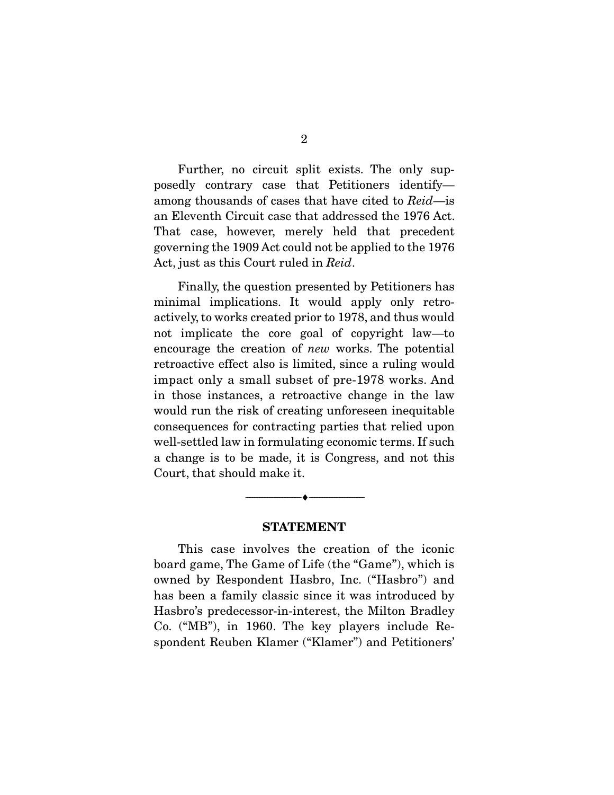Further, no circuit split exists. The only supposedly contrary case that Petitioners identify among thousands of cases that have cited to *Reid*—is an Eleventh Circuit case that addressed the 1976 Act. That case, however, merely held that precedent governing the 1909 Act could not be applied to the 1976 Act, just as this Court ruled in *Reid*.

 Finally, the question presented by Petitioners has minimal implications. It would apply only retroactively, to works created prior to 1978, and thus would not implicate the core goal of copyright law—to encourage the creation of *new* works. The potential retroactive effect also is limited, since a ruling would impact only a small subset of pre-1978 works. And in those instances, a retroactive change in the law would run the risk of creating unforeseen inequitable consequences for contracting parties that relied upon well-settled law in formulating economic terms. If such a change is to be made, it is Congress, and not this Court, that should make it.

#### **STATEMENT**

--------------------------------- ♦ ---------------------------------

 This case involves the creation of the iconic board game, The Game of Life (the "Game"), which is owned by Respondent Hasbro, Inc. ("Hasbro") and has been a family classic since it was introduced by Hasbro's predecessor-in-interest, the Milton Bradley Co. ("MB"), in 1960. The key players include Respondent Reuben Klamer ("Klamer") and Petitioners'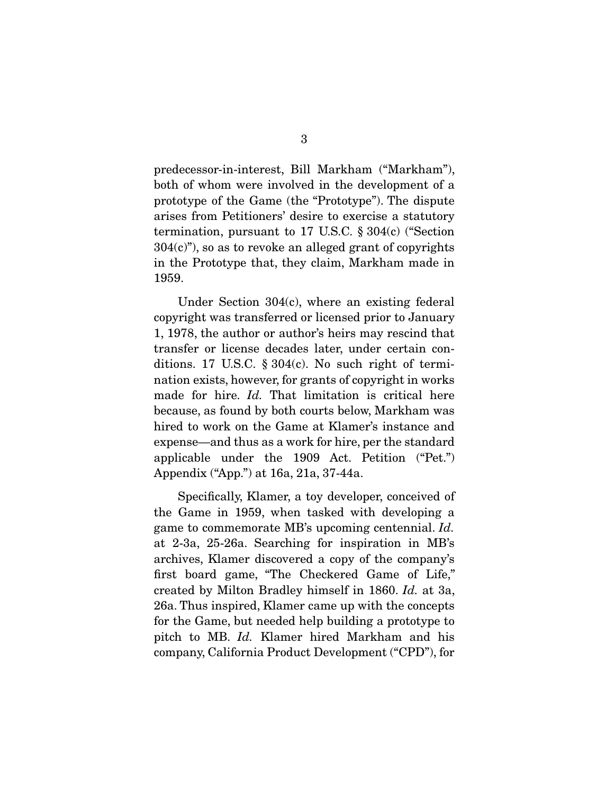predecessor-in-interest, Bill Markham ("Markham"), both of whom were involved in the development of a prototype of the Game (the "Prototype"). The dispute arises from Petitioners' desire to exercise a statutory termination, pursuant to 17 U.S.C. § 304(c) ("Section  $304(c)$ , so as to revoke an alleged grant of copyrights in the Prototype that, they claim, Markham made in 1959.

 Under Section 304(c), where an existing federal copyright was transferred or licensed prior to January 1, 1978, the author or author's heirs may rescind that transfer or license decades later, under certain conditions. 17 U.S.C. § 304(c). No such right of termination exists, however, for grants of copyright in works made for hire. *Id.* That limitation is critical here because, as found by both courts below, Markham was hired to work on the Game at Klamer's instance and expense—and thus as a work for hire, per the standard applicable under the 1909 Act. Petition ("Pet.") Appendix ("App.") at 16a, 21a, 37-44a.

 Specifically, Klamer, a toy developer, conceived of the Game in 1959, when tasked with developing a game to commemorate MB's upcoming centennial. *Id.* at 2-3a, 25-26a. Searching for inspiration in MB's archives, Klamer discovered a copy of the company's first board game, "The Checkered Game of Life," created by Milton Bradley himself in 1860. *Id.* at 3a, 26a. Thus inspired, Klamer came up with the concepts for the Game, but needed help building a prototype to pitch to MB. *Id.* Klamer hired Markham and his company, California Product Development ("CPD"), for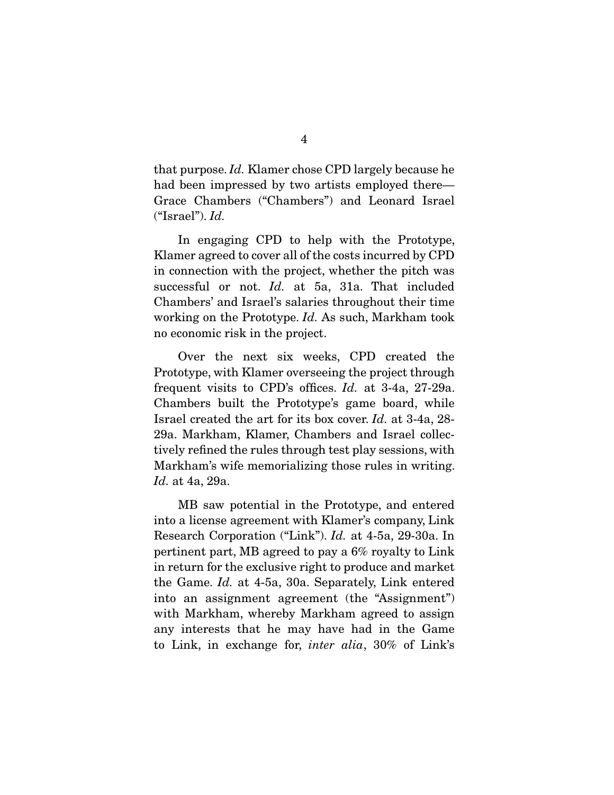that purpose. *Id.* Klamer chose CPD largely because he had been impressed by two artists employed there— Grace Chambers ("Chambers") and Leonard Israel ("Israel"). *Id.*

 In engaging CPD to help with the Prototype, Klamer agreed to cover all of the costs incurred by CPD in connection with the project, whether the pitch was successful or not. *Id.* at 5a, 31a. That included Chambers' and Israel's salaries throughout their time working on the Prototype. *Id.* As such, Markham took no economic risk in the project.

 Over the next six weeks, CPD created the Prototype, with Klamer overseeing the project through frequent visits to CPD's offices. *Id.* at 3-4a, 27-29a. Chambers built the Prototype's game board, while Israel created the art for its box cover. *Id.* at 3-4a, 28- 29a. Markham, Klamer, Chambers and Israel collectively refined the rules through test play sessions, with Markham's wife memorializing those rules in writing. *Id.* at 4a, 29a.

 MB saw potential in the Prototype, and entered into a license agreement with Klamer's company, Link Research Corporation ("Link"). *Id.* at 4-5a, 29-30a. In pertinent part, MB agreed to pay a 6% royalty to Link in return for the exclusive right to produce and market the Game. *Id.* at 4-5a, 30a. Separately, Link entered into an assignment agreement (the "Assignment") with Markham, whereby Markham agreed to assign any interests that he may have had in the Game to Link, in exchange for, *inter alia*, 30% of Link's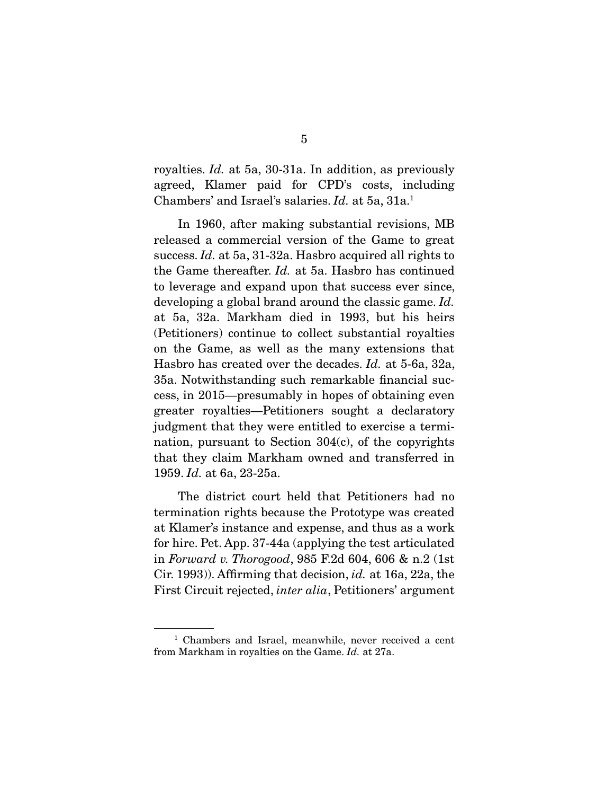royalties. *Id.* at 5a, 30-31a. In addition, as previously agreed, Klamer paid for CPD's costs, including Chambers' and Israel's salaries. *Id.* at 5a, 31a.1

 In 1960, after making substantial revisions, MB released a commercial version of the Game to great success. *Id.* at 5a, 31-32a. Hasbro acquired all rights to the Game thereafter. *Id.* at 5a. Hasbro has continued to leverage and expand upon that success ever since, developing a global brand around the classic game. *Id.* at 5a, 32a. Markham died in 1993, but his heirs (Petitioners) continue to collect substantial royalties on the Game, as well as the many extensions that Hasbro has created over the decades. *Id.* at 5-6a, 32a, 35a. Notwithstanding such remarkable financial success, in 2015—presumably in hopes of obtaining even greater royalties—Petitioners sought a declaratory judgment that they were entitled to exercise a termination, pursuant to Section 304(c), of the copyrights that they claim Markham owned and transferred in 1959. *Id.* at 6a, 23-25a.

 The district court held that Petitioners had no termination rights because the Prototype was created at Klamer's instance and expense, and thus as a work for hire. Pet. App. 37-44a (applying the test articulated in *Forward v. Thorogood*, 985 F.2d 604, 606 & n.2 (1st Cir. 1993)). Affirming that decision, *id.* at 16a, 22a, the First Circuit rejected, *inter alia*, Petitioners' argument

<sup>&</sup>lt;sup>1</sup> Chambers and Israel, meanwhile, never received a cent from Markham in royalties on the Game. *Id.* at 27a.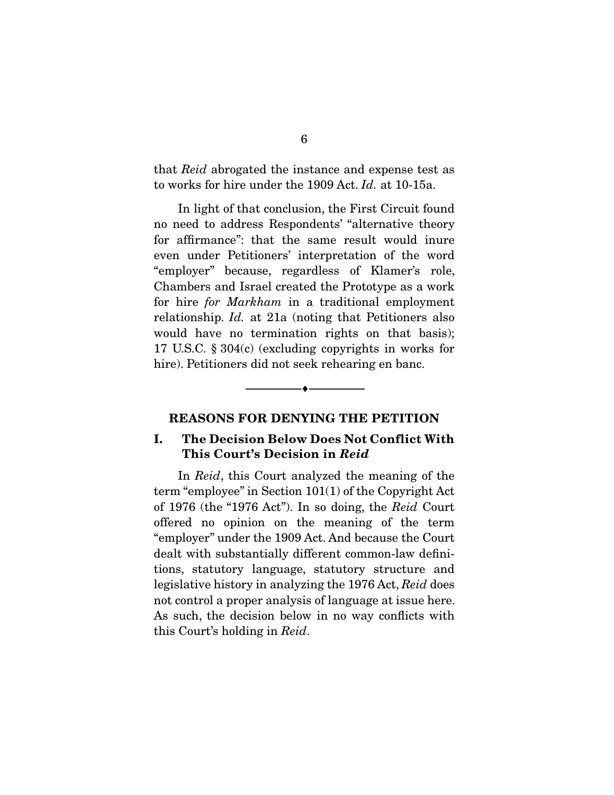that *Reid* abrogated the instance and expense test as to works for hire under the 1909 Act. *Id.* at 10-15a.

 In light of that conclusion, the First Circuit found no need to address Respondents' "alternative theory for affirmance": that the same result would inure even under Petitioners' interpretation of the word "employer" because, regardless of Klamer's role, Chambers and Israel created the Prototype as a work for hire *for Markham* in a traditional employment relationship. *Id.* at 21a (noting that Petitioners also would have no termination rights on that basis); 17 U.S.C. § 304(c) (excluding copyrights in works for hire). Petitioners did not seek rehearing en banc.

#### **REASONS FOR DENYING THE PETITION**

--------------------------------- ♦ ---------------------------------

### **I. The Decision Below Does Not Conflict With This Court's Decision in** *Reid*

 In *Reid*, this Court analyzed the meaning of the term "employee" in Section 101(1) of the Copyright Act of 1976 (the "1976 Act"). In so doing, the *Reid* Court offered no opinion on the meaning of the term "employer" under the 1909 Act. And because the Court dealt with substantially different common-law definitions, statutory language, statutory structure and legislative history in analyzing the 1976 Act, *Reid* does not control a proper analysis of language at issue here. As such, the decision below in no way conflicts with this Court's holding in *Reid*.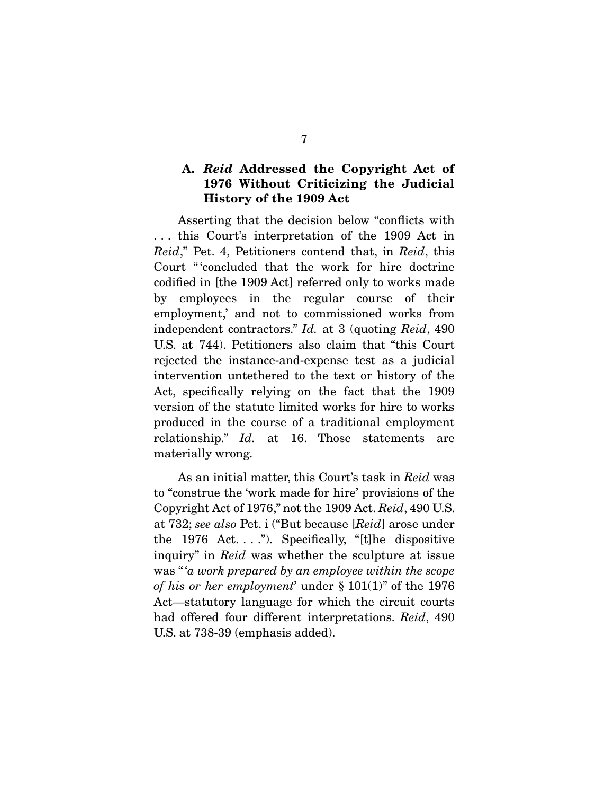## **A.** *Reid* **Addressed the Copyright Act of 1976 Without Criticizing the Judicial History of the 1909 Act**

 Asserting that the decision below "conflicts with . . . this Court's interpretation of the 1909 Act in *Reid*," Pet. 4, Petitioners contend that, in *Reid*, this Court " 'concluded that the work for hire doctrine codified in [the 1909 Act] referred only to works made by employees in the regular course of their employment,' and not to commissioned works from independent contractors." *Id.* at 3 (quoting *Reid*, 490 U.S. at 744). Petitioners also claim that "this Court rejected the instance-and-expense test as a judicial intervention untethered to the text or history of the Act, specifically relying on the fact that the 1909 version of the statute limited works for hire to works produced in the course of a traditional employment relationship." *Id.* at 16. Those statements are materially wrong.

 As an initial matter, this Court's task in *Reid* was to "construe the 'work made for hire' provisions of the Copyright Act of 1976," not the 1909 Act. *Reid*, 490 U.S. at 732; *see also* Pet. i ("But because [*Reid*] arose under the 1976 Act...."). Specifically, "[t] he dispositive inquiry" in *Reid* was whether the sculpture at issue was " '*a work prepared by an employee within the scope of his or her employment*' under § 101(1)" of the 1976 Act—statutory language for which the circuit courts had offered four different interpretations. *Reid*, 490 U.S. at 738-39 (emphasis added).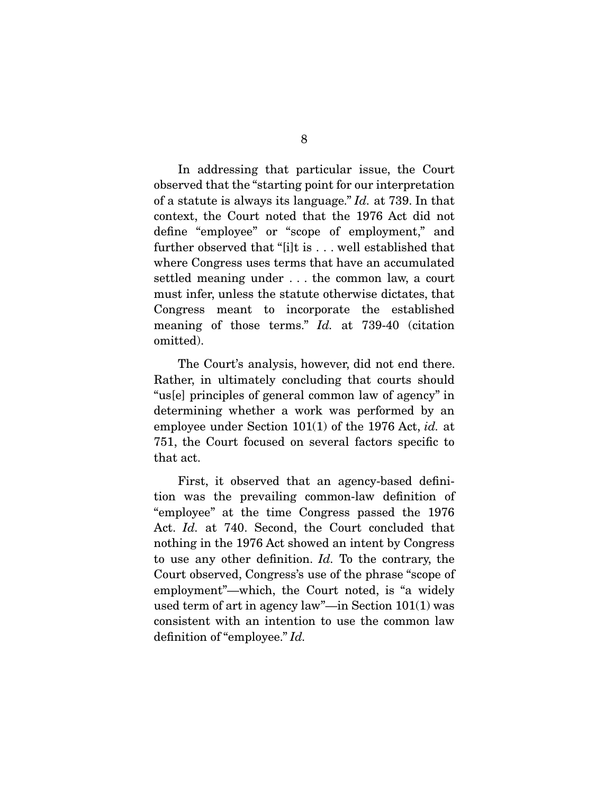In addressing that particular issue, the Court observed that the "starting point for our interpretation of a statute is always its language." *Id.* at 739. In that context, the Court noted that the 1976 Act did not define "employee" or "scope of employment," and further observed that "[i]t is . . . well established that where Congress uses terms that have an accumulated settled meaning under . . . the common law, a court must infer, unless the statute otherwise dictates, that Congress meant to incorporate the established meaning of those terms." *Id.* at 739-40 (citation omitted).

 The Court's analysis, however, did not end there. Rather, in ultimately concluding that courts should "us[e] principles of general common law of agency" in determining whether a work was performed by an employee under Section 101(1) of the 1976 Act, *id.* at 751, the Court focused on several factors specific to that act.

 First, it observed that an agency-based definition was the prevailing common-law definition of "employee" at the time Congress passed the 1976 Act. *Id.* at 740. Second, the Court concluded that nothing in the 1976 Act showed an intent by Congress to use any other definition. *Id.* To the contrary, the Court observed, Congress's use of the phrase "scope of employment"—which, the Court noted, is "a widely used term of art in agency law"—in Section 101(1) was consistent with an intention to use the common law definition of "employee." *Id.*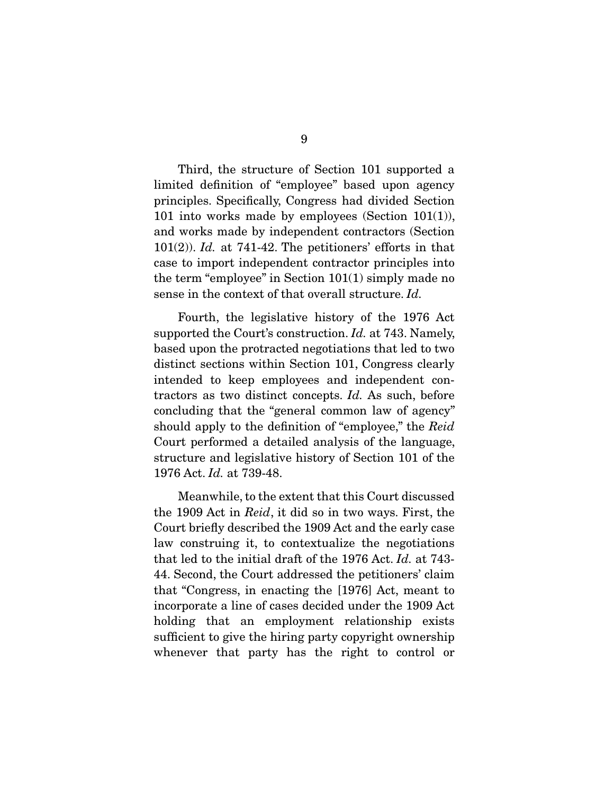Third, the structure of Section 101 supported a limited definition of "employee" based upon agency principles. Specifically, Congress had divided Section 101 into works made by employees (Section 101(1)), and works made by independent contractors (Section 101(2)). *Id.* at 741-42. The petitioners' efforts in that case to import independent contractor principles into the term "employee" in Section 101(1) simply made no sense in the context of that overall structure. *Id.*

 Fourth, the legislative history of the 1976 Act supported the Court's construction. *Id.* at 743. Namely, based upon the protracted negotiations that led to two distinct sections within Section 101, Congress clearly intended to keep employees and independent contractors as two distinct concepts. *Id.* As such, before concluding that the "general common law of agency" should apply to the definition of "employee," the *Reid* Court performed a detailed analysis of the language, structure and legislative history of Section 101 of the 1976 Act. *Id.* at 739-48.

 Meanwhile, to the extent that this Court discussed the 1909 Act in *Reid*, it did so in two ways. First, the Court briefly described the 1909 Act and the early case law construing it, to contextualize the negotiations that led to the initial draft of the 1976 Act. *Id.* at 743- 44. Second, the Court addressed the petitioners' claim that "Congress, in enacting the [1976] Act, meant to incorporate a line of cases decided under the 1909 Act holding that an employment relationship exists sufficient to give the hiring party copyright ownership whenever that party has the right to control or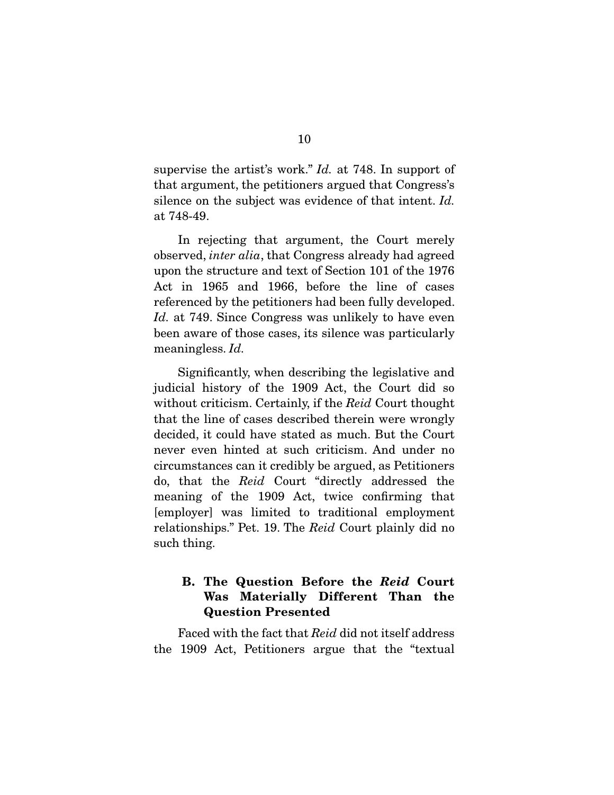supervise the artist's work." *Id.* at 748. In support of that argument, the petitioners argued that Congress's silence on the subject was evidence of that intent. *Id.*  at 748-49.

 In rejecting that argument, the Court merely observed, *inter alia*, that Congress already had agreed upon the structure and text of Section 101 of the 1976 Act in 1965 and 1966, before the line of cases referenced by the petitioners had been fully developed. *Id.* at 749. Since Congress was unlikely to have even been aware of those cases, its silence was particularly meaningless. *Id.*

 Significantly, when describing the legislative and judicial history of the 1909 Act, the Court did so without criticism. Certainly, if the *Reid* Court thought that the line of cases described therein were wrongly decided, it could have stated as much. But the Court never even hinted at such criticism. And under no circumstances can it credibly be argued, as Petitioners do, that the *Reid* Court "directly addressed the meaning of the 1909 Act, twice confirming that [employer] was limited to traditional employment relationships." Pet. 19. The *Reid* Court plainly did no such thing.

## **B. The Question Before the** *Reid* **Court Was Materially Different Than the Question Presented**

 Faced with the fact that *Reid* did not itself address the 1909 Act, Petitioners argue that the "textual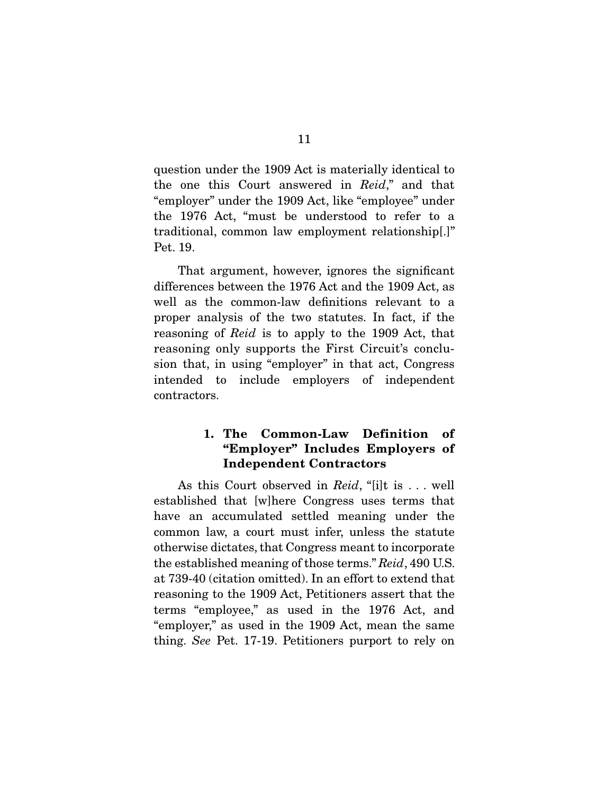question under the 1909 Act is materially identical to the one this Court answered in *Reid*," and that "employer" under the 1909 Act, like "employee" under the 1976 Act, "must be understood to refer to a traditional, common law employment relationship[.]" Pet. 19.

 That argument, however, ignores the significant differences between the 1976 Act and the 1909 Act, as well as the common-law definitions relevant to a proper analysis of the two statutes. In fact, if the reasoning of *Reid* is to apply to the 1909 Act, that reasoning only supports the First Circuit's conclusion that, in using "employer" in that act, Congress intended to include employers of independent contractors.

## **1. The Common-Law Definition of "Employer" Includes Employers of Independent Contractors**

 As this Court observed in *Reid*, "[i]t is . . . well established that [w]here Congress uses terms that have an accumulated settled meaning under the common law, a court must infer, unless the statute otherwise dictates, that Congress meant to incorporate the established meaning of those terms." *Reid*, 490 U.S. at 739-40 (citation omitted). In an effort to extend that reasoning to the 1909 Act, Petitioners assert that the terms "employee," as used in the 1976 Act, and "employer," as used in the 1909 Act, mean the same thing. *See* Pet. 17-19. Petitioners purport to rely on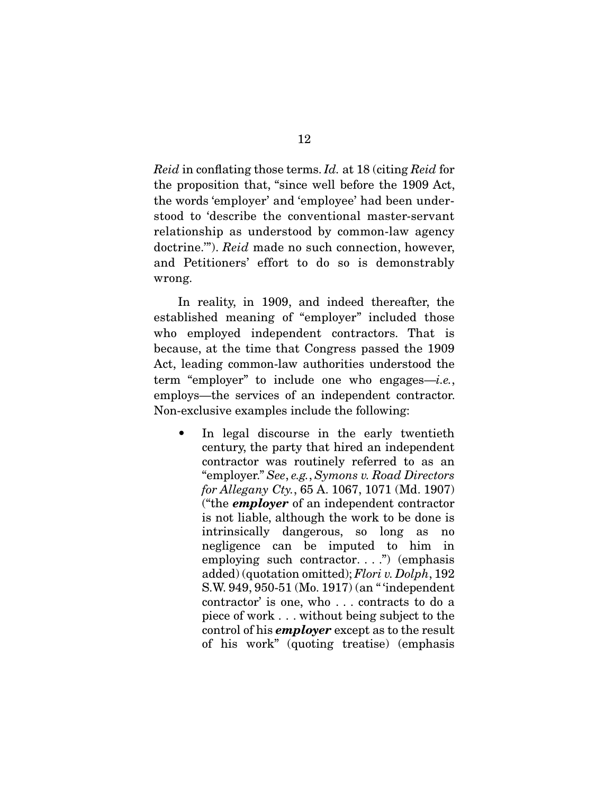*Reid* in conflating those terms. *Id.* at 18 (citing *Reid* for the proposition that, "since well before the 1909 Act, the words 'employer' and 'employee' had been understood to 'describe the conventional master-servant relationship as understood by common-law agency doctrine.'"). *Reid* made no such connection, however, and Petitioners' effort to do so is demonstrably wrong.

 In reality, in 1909, and indeed thereafter, the established meaning of "employer" included those who employed independent contractors. That is because, at the time that Congress passed the 1909 Act, leading common-law authorities understood the term "employer" to include one who engages—*i.e.*, employs—the services of an independent contractor. Non-exclusive examples include the following:

In legal discourse in the early twentieth century, the party that hired an independent contractor was routinely referred to as an "employer." *See*, *e.g.*, *Symons v. Road Directors for Allegany Cty.*, 65 A. 1067, 1071 (Md. 1907) ("the *employer* of an independent contractor is not liable, although the work to be done is intrinsically dangerous, so long as no negligence can be imputed to him in employing such contractor. . . .") (emphasis added) (quotation omitted); *Flori v. Dolph*, 192 S.W. 949, 950-51 (Mo. 1917) (an " 'independent contractor' is one, who . . . contracts to do a piece of work . . . without being subject to the control of his *employer* except as to the result of his work" (quoting treatise) (emphasis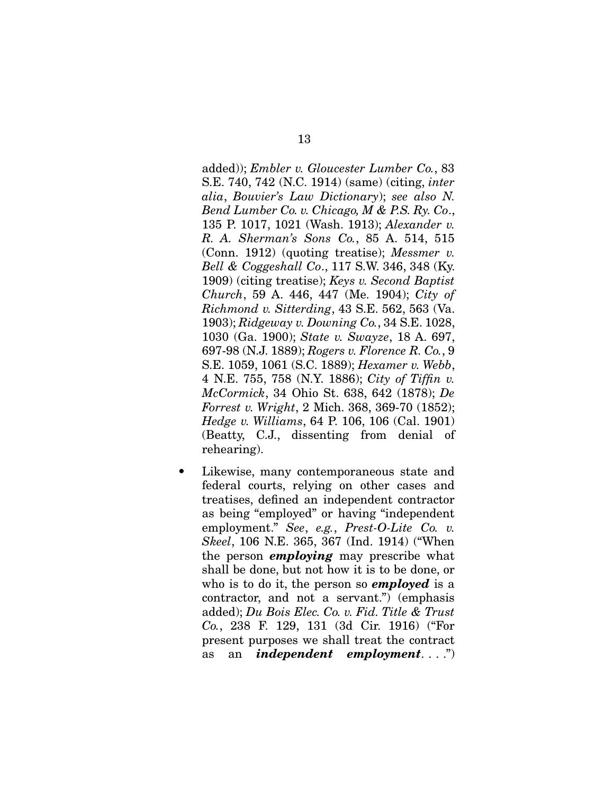added)); *Embler v. Gloucester Lumber Co.*, 83 S.E. 740, 742 (N.C. 1914) (same) (citing, *inter alia*, *Bouvier's Law Dictionary*); *see also N. Bend Lumber Co. v. Chicago, M & P.S. Ry. Co*., 135 P. 1017, 1021 (Wash. 1913); *Alexander v. R. A. Sherman's Sons Co.*, 85 A. 514, 515 (Conn. 1912) (quoting treatise); *Messmer v. Bell & Coggeshall Co*., 117 S.W. 346, 348 (Ky. 1909) (citing treatise); *Keys v. Second Baptist Church*, 59 A. 446, 447 (Me. 1904); *City of Richmond v. Sitterding*, 43 S.E. 562, 563 (Va. 1903); *Ridgeway v. Downing Co.*, 34 S.E. 1028, 1030 (Ga. 1900); *State v. Swayze*, 18 A. 697, 697-98 (N.J. 1889); *Rogers v. Florence R. Co.*, 9 S.E. 1059, 1061 (S.C. 1889); *Hexamer v. Webb*, 4 N.E. 755, 758 (N.Y. 1886); *City of Tiffin v. McCormick*, 34 Ohio St. 638, 642 (1878); *De Forrest v. Wright*, 2 Mich. 368, 369-70 (1852); *Hedge v. Williams*, 64 P. 106, 106 (Cal. 1901) (Beatty, C.J., dissenting from denial of rehearing).

Likewise, many contemporaneous state and federal courts, relying on other cases and treatises, defined an independent contractor as being "employed" or having "independent employment." *See*, *e.g.*, *Prest-O-Lite Co. v. Skeel*, 106 N.E. 365, 367 (Ind. 1914) ("When the person *employing* may prescribe what shall be done, but not how it is to be done, or who is to do it, the person so *employed* is a contractor, and not a servant.") (emphasis added); *Du Bois Elec. Co. v. Fid. Title & Trust Co.*, 238 F. 129, 131 (3d Cir. 1916) ("For present purposes we shall treat the contract as an *independent employment*. . . .")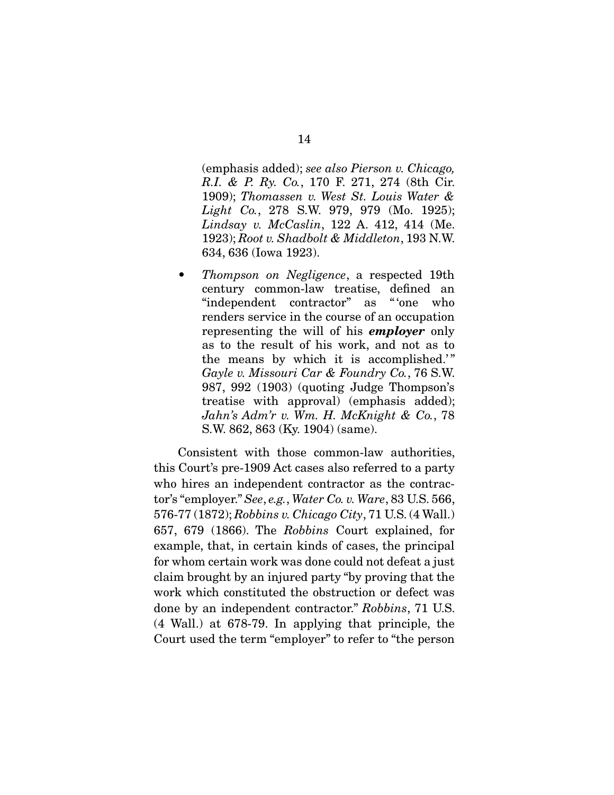(emphasis added); *see also Pierson v. Chicago, R.I. & P. Ry. Co.*, 170 F. 271, 274 (8th Cir. 1909); *Thomassen v. West St. Louis Water & Light Co.*, 278 S.W. 979, 979 (Mo. 1925); *Lindsay v. McCaslin*, 122 A. 412, 414 (Me. 1923); *Root v. Shadbolt & Middleton*, 193 N.W. 634, 636 (Iowa 1923).

• *Thompson on Negligence*, a respected 19th century common-law treatise, defined an "independent contractor" as " 'one who renders service in the course of an occupation representing the will of his *employer* only as to the result of his work, and not as to the means by which it is accomplished.'" *Gayle v. Missouri Car & Foundry Co.*, 76 S.W. 987, 992 (1903) (quoting Judge Thompson's treatise with approval) (emphasis added); *Jahn's Adm'r v. Wm. H. McKnight & Co.*, 78 S.W. 862, 863 (Ky. 1904) (same).

 Consistent with those common-law authorities, this Court's pre-1909 Act cases also referred to a party who hires an independent contractor as the contractor's "employer." *See*, *e.g.*, *Water Co. v. Ware*, 83 U.S. 566, 576-77 (1872); *Robbins v. Chicago City*, 71 U.S. (4 Wall.) 657, 679 (1866). The *Robbins* Court explained, for example, that, in certain kinds of cases, the principal for whom certain work was done could not defeat a just claim brought by an injured party "by proving that the work which constituted the obstruction or defect was done by an independent contractor." *Robbins*, 71 U.S. (4 Wall.) at 678-79. In applying that principle, the Court used the term "employer" to refer to "the person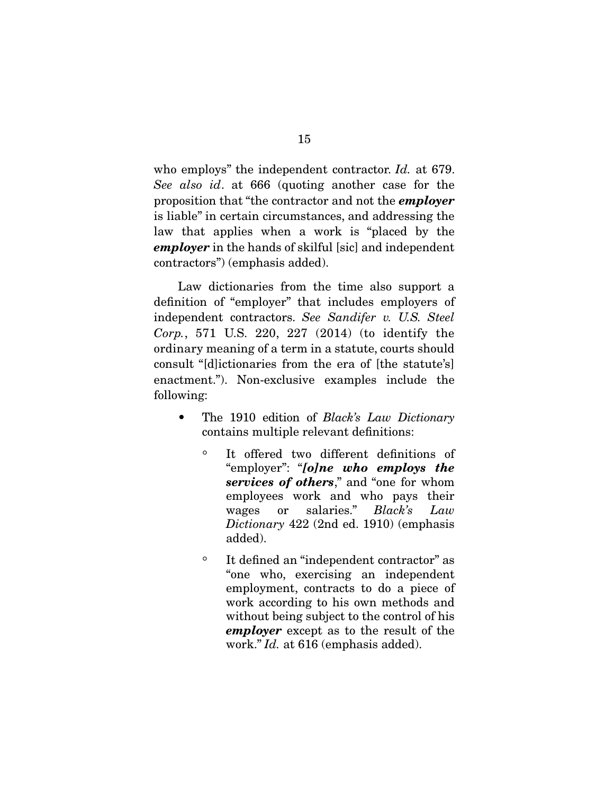who employs" the independent contractor. *Id.* at 679. *See also id*. at 666 (quoting another case for the proposition that "the contractor and not the *employer* is liable" in certain circumstances, and addressing the law that applies when a work is "placed by the *employer* in the hands of skilful [sic] and independent contractors") (emphasis added).

 Law dictionaries from the time also support a definition of "employer" that includes employers of independent contractors. *See Sandifer v. U.S. Steel Corp.*, 571 U.S. 220, 227 (2014) (to identify the ordinary meaning of a term in a statute, courts should consult "[d]ictionaries from the era of [the statute's] enactment."). Non-exclusive examples include the following:

- The 1910 edition of *Black's Law Dictionary* contains multiple relevant definitions:
	- It offered two different definitions of "employer": "*[o]ne who employs the services of others*," and "one for whom employees work and who pays their wages or salaries." *Black's Law Dictionary* 422 (2nd ed. 1910) (emphasis added).
	- It defined an "independent contractor" as "one who, exercising an independent employment, contracts to do a piece of work according to his own methods and without being subject to the control of his *employer* except as to the result of the work." *Id.* at 616 (emphasis added).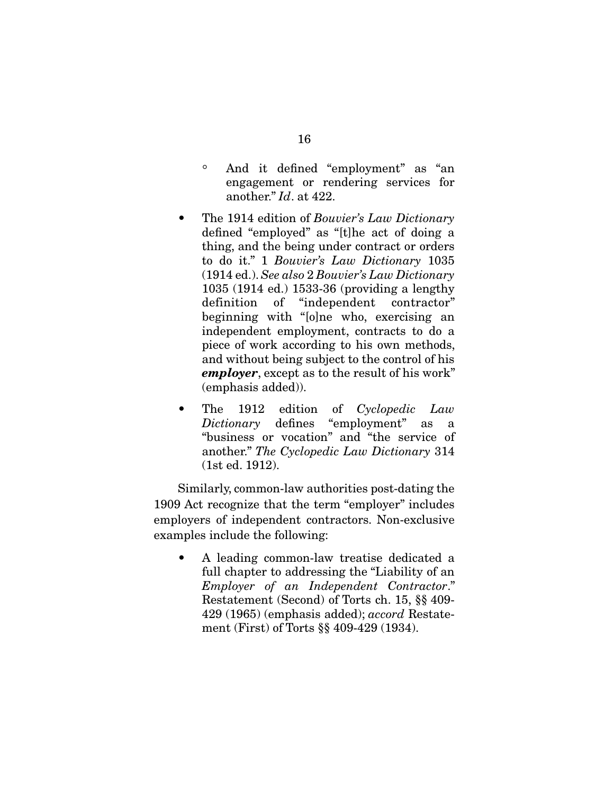- And it defined "employment" as "an engagement or rendering services for another." *Id*. at 422.
- The 1914 edition of *Bouvier's Law Dictionary* defined "employed" as "[t]he act of doing a thing, and the being under contract or orders to do it." 1 *Bouvier's Law Dictionary* 1035 (1914 ed.). *See also* 2 *Bouvier's Law Dictionary* 1035 (1914 ed.) 1533-36 (providing a lengthy definition of "independent contractor" beginning with "[o]ne who, exercising an independent employment, contracts to do a piece of work according to his own methods, and without being subject to the control of his *employer*, except as to the result of his work" (emphasis added)).
- The 1912 edition of *Cyclopedic Law Dictionary* defines "employment" as a "business or vocation" and "the service of another." *The Cyclopedic Law Dictionary* 314 (1st ed. 1912).

 Similarly, common-law authorities post-dating the 1909 Act recognize that the term "employer" includes employers of independent contractors. Non-exclusive examples include the following:

• A leading common-law treatise dedicated a full chapter to addressing the "Liability of an *Employer of an Independent Contractor*." Restatement (Second) of Torts ch. 15, §§ 409- 429 (1965) (emphasis added); *accord* Restatement (First) of Torts §§ 409-429 (1934).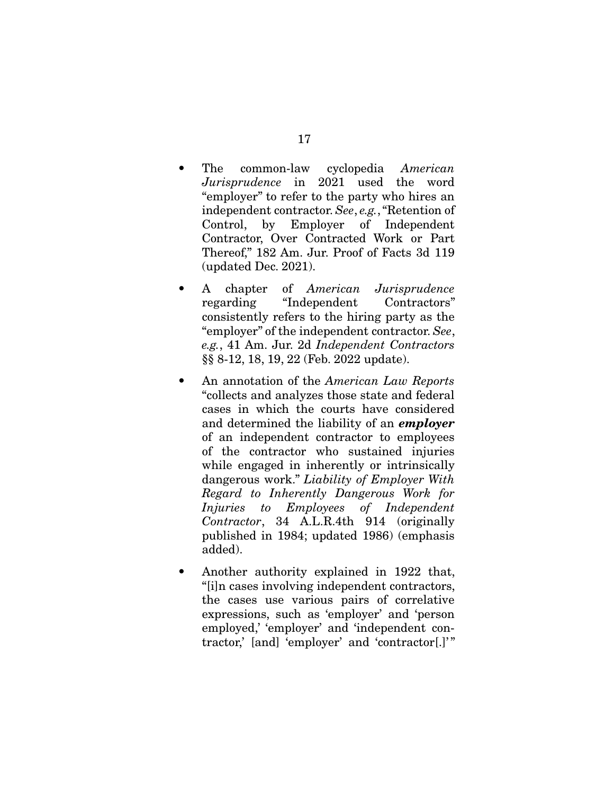- The common-law cyclopedia *American Jurisprudence* in 2021 used the word "employer" to refer to the party who hires an independent contractor. *See*, *e.g.*, "Retention of Control, by Employer of Independent Contractor, Over Contracted Work or Part Thereof," 182 Am. Jur. Proof of Facts 3d 119 (updated Dec. 2021).
- A chapter of *American Jurisprudence*  regarding "Independent Contractors" consistently refers to the hiring party as the "employer" of the independent contractor. *See*, *e.g.*, 41 Am. Jur. 2d *Independent Contractors*  §§ 8-12, 18, 19, 22 (Feb. 2022 update).
- An annotation of the *American Law Reports* "collects and analyzes those state and federal cases in which the courts have considered and determined the liability of an *employer* of an independent contractor to employees of the contractor who sustained injuries while engaged in inherently or intrinsically dangerous work." *Liability of Employer With Regard to Inherently Dangerous Work for Injuries to Employees of Independent Contractor*, 34 A.L.R.4th 914 (originally published in 1984; updated 1986) (emphasis added).
- Another authority explained in 1922 that, "[i]n cases involving independent contractors, the cases use various pairs of correlative expressions, such as 'employer' and 'person employed,' 'employer' and 'independent contractor,' [and] 'employer' and 'contractor[.]' "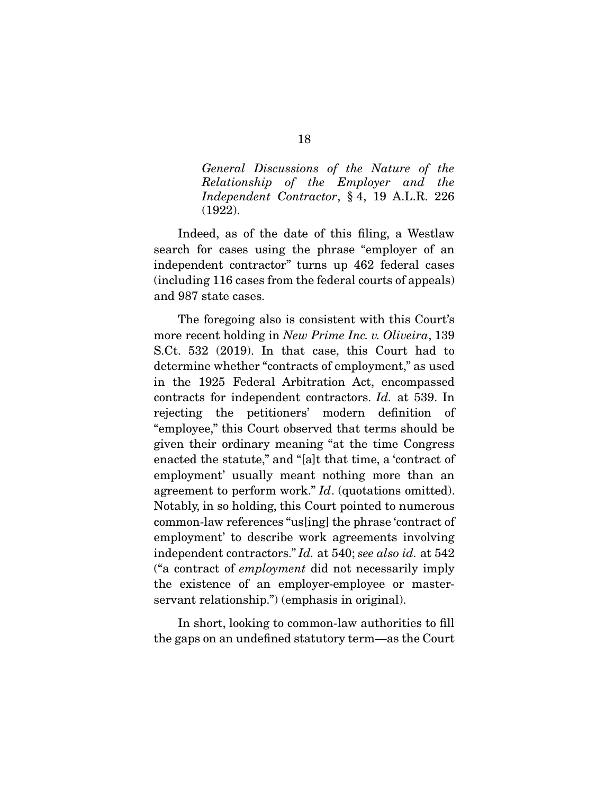*General Discussions of the Nature of the Relationship of the Employer and the Independent Contractor*, § 4, 19 A.L.R. 226 (1922).

 Indeed, as of the date of this filing, a Westlaw search for cases using the phrase "employer of an independent contractor" turns up 462 federal cases (including 116 cases from the federal courts of appeals) and 987 state cases.

 The foregoing also is consistent with this Court's more recent holding in *New Prime Inc. v. Oliveira*, 139 S.Ct. 532 (2019). In that case, this Court had to determine whether "contracts of employment," as used in the 1925 Federal Arbitration Act, encompassed contracts for independent contractors. *Id.* at 539. In rejecting the petitioners' modern definition of "employee," this Court observed that terms should be given their ordinary meaning "at the time Congress enacted the statute," and "[a]t that time, a 'contract of employment' usually meant nothing more than an agreement to perform work." *Id*. (quotations omitted). Notably, in so holding, this Court pointed to numerous common-law references "us[ing] the phrase 'contract of employment' to describe work agreements involving independent contractors." *Id.* at 540; *see also id.* at 542 ("a contract of *employment* did not necessarily imply the existence of an employer-employee or masterservant relationship.") (emphasis in original).

 In short, looking to common-law authorities to fill the gaps on an undefined statutory term—as the Court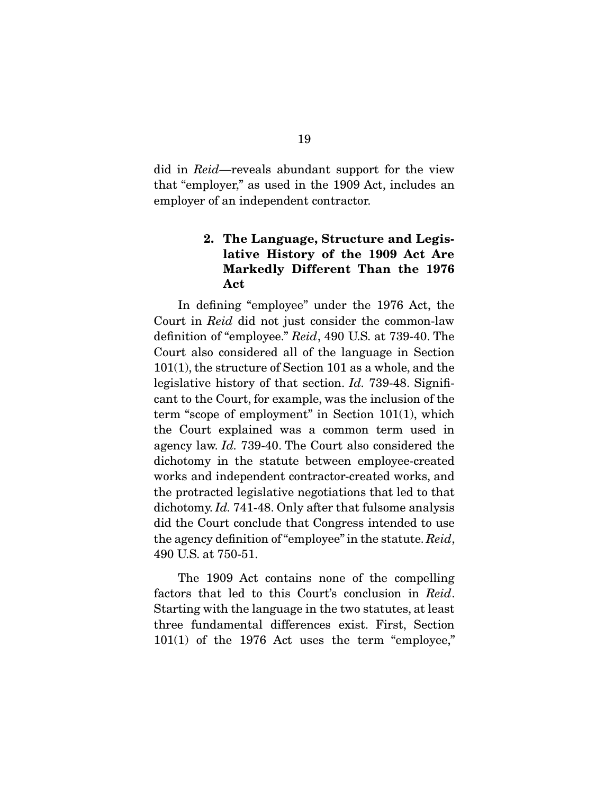did in *Reid*—reveals abundant support for the view that "employer," as used in the 1909 Act, includes an employer of an independent contractor.

## **2. The Language, Structure and Legislative History of the 1909 Act Are Markedly Different Than the 1976 Act**

 In defining "employee" under the 1976 Act, the Court in *Reid* did not just consider the common-law definition of "employee." *Reid*, 490 U.S. at 739-40. The Court also considered all of the language in Section 101(1), the structure of Section 101 as a whole, and the legislative history of that section. *Id.* 739-48. Significant to the Court, for example, was the inclusion of the term "scope of employment" in Section 101(1), which the Court explained was a common term used in agency law. *Id.* 739-40. The Court also considered the dichotomy in the statute between employee-created works and independent contractor-created works, and the protracted legislative negotiations that led to that dichotomy. *Id.* 741-48. Only after that fulsome analysis did the Court conclude that Congress intended to use the agency definition of "employee" in the statute. *Reid*, 490 U.S. at 750-51.

 The 1909 Act contains none of the compelling factors that led to this Court's conclusion in *Reid*. Starting with the language in the two statutes, at least three fundamental differences exist. First, Section 101(1) of the 1976 Act uses the term "employee,"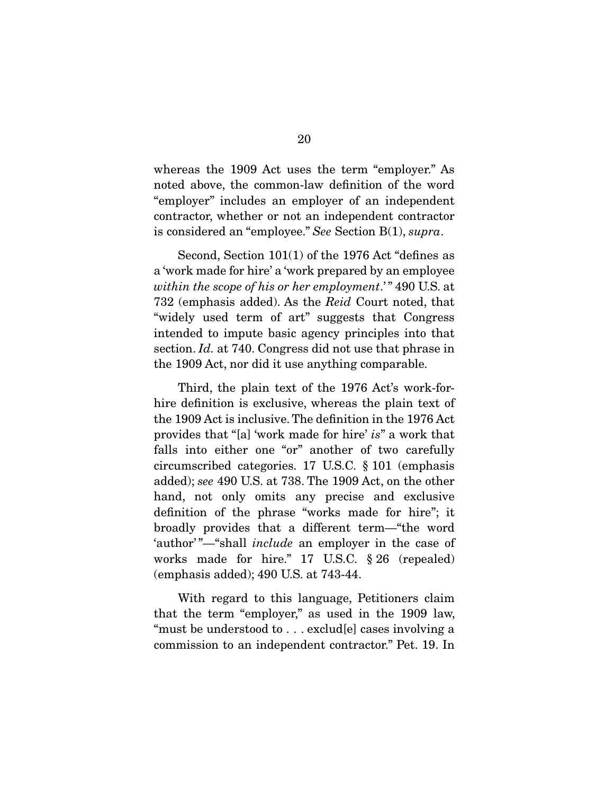whereas the 1909 Act uses the term "employer." As noted above, the common-law definition of the word "employer" includes an employer of an independent contractor, whether or not an independent contractor is considered an "employee." *See* Section B(1), *supra*.

 Second, Section 101(1) of the 1976 Act "defines as a 'work made for hire' a 'work prepared by an employee *within the scope of his or her employment*.' " 490 U.S. at 732 (emphasis added). As the *Reid* Court noted, that "widely used term of art" suggests that Congress intended to impute basic agency principles into that section. *Id.* at 740. Congress did not use that phrase in the 1909 Act, nor did it use anything comparable.

 Third, the plain text of the 1976 Act's work-forhire definition is exclusive, whereas the plain text of the 1909 Act is inclusive. The definition in the 1976 Act provides that "[a] 'work made for hire' *is*" a work that falls into either one "or" another of two carefully circumscribed categories. 17 U.S.C. § 101 (emphasis added); *see* 490 U.S. at 738. The 1909 Act, on the other hand, not only omits any precise and exclusive definition of the phrase "works made for hire"; it broadly provides that a different term—"the word 'author' "—"shall *include* an employer in the case of works made for hire." 17 U.S.C. § 26 (repealed) (emphasis added); 490 U.S. at 743-44.

 With regard to this language, Petitioners claim that the term "employer," as used in the 1909 law, "must be understood to . . . exclud[e] cases involving a commission to an independent contractor." Pet. 19. In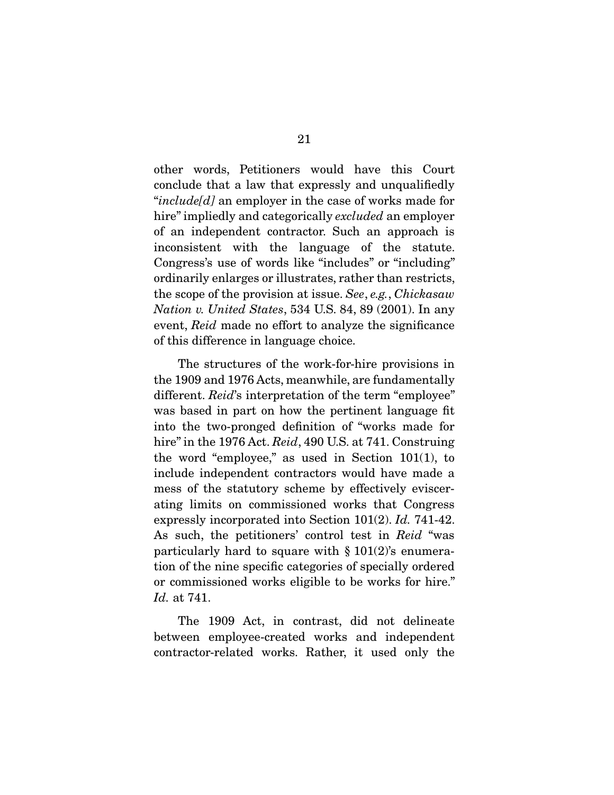other words, Petitioners would have this Court conclude that a law that expressly and unqualifiedly "*include[d]* an employer in the case of works made for hire" impliedly and categorically *excluded* an employer of an independent contractor. Such an approach is inconsistent with the language of the statute. Congress's use of words like "includes" or "including" ordinarily enlarges or illustrates, rather than restricts, the scope of the provision at issue. *See*, *e.g.*, *Chickasaw Nation v. United States*, 534 U.S. 84, 89 (2001). In any event, *Reid* made no effort to analyze the significance of this difference in language choice.

 The structures of the work-for-hire provisions in the 1909 and 1976 Acts, meanwhile, are fundamentally different. *Reid*'s interpretation of the term "employee" was based in part on how the pertinent language fit into the two-pronged definition of "works made for hire" in the 1976 Act. *Reid*, 490 U.S. at 741. Construing the word "employee," as used in Section 101(1), to include independent contractors would have made a mess of the statutory scheme by effectively eviscerating limits on commissioned works that Congress expressly incorporated into Section 101(2). *Id.* 741-42. As such, the petitioners' control test in *Reid* "was particularly hard to square with  $\S 101(2)$ 's enumeration of the nine specific categories of specially ordered or commissioned works eligible to be works for hire." *Id.* at 741.

 The 1909 Act, in contrast, did not delineate between employee-created works and independent contractor-related works. Rather, it used only the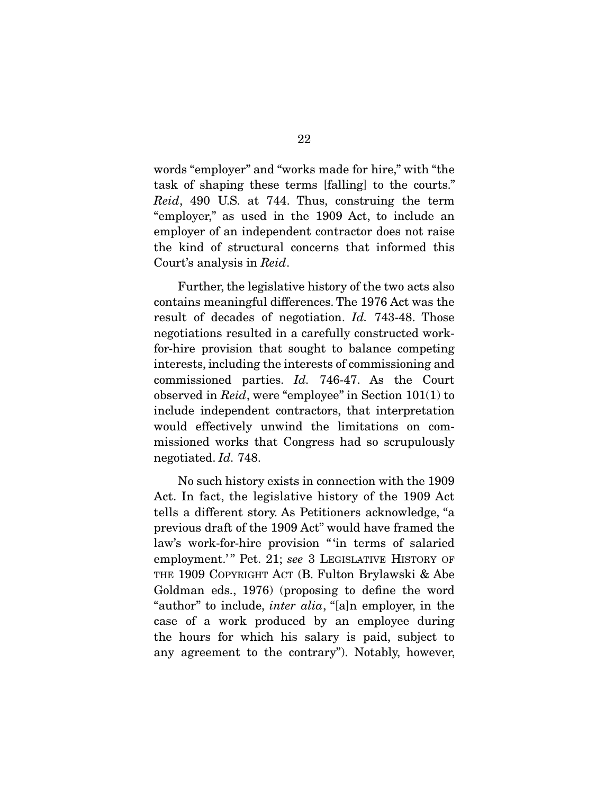words "employer" and "works made for hire," with "the task of shaping these terms [falling] to the courts." *Reid*, 490 U.S. at 744. Thus, construing the term "employer," as used in the 1909 Act, to include an employer of an independent contractor does not raise the kind of structural concerns that informed this Court's analysis in *Reid*.

 Further, the legislative history of the two acts also contains meaningful differences. The 1976 Act was the result of decades of negotiation. *Id.* 743-48. Those negotiations resulted in a carefully constructed workfor-hire provision that sought to balance competing interests, including the interests of commissioning and commissioned parties. *Id.* 746-47. As the Court observed in *Reid*, were "employee" in Section 101(1) to include independent contractors, that interpretation would effectively unwind the limitations on commissioned works that Congress had so scrupulously negotiated. *Id.* 748.

 No such history exists in connection with the 1909 Act. In fact, the legislative history of the 1909 Act tells a different story. As Petitioners acknowledge, "a previous draft of the 1909 Act" would have framed the law's work-for-hire provision " 'in terms of salaried employment.'" Pet. 21; see 3 LEGISLATIVE HISTORY OF THE 1909 COPYRIGHT ACT (B. Fulton Brylawski & Abe Goldman eds., 1976) (proposing to define the word "author" to include, *inter alia*, "[a]n employer, in the case of a work produced by an employee during the hours for which his salary is paid, subject to any agreement to the contrary"). Notably, however,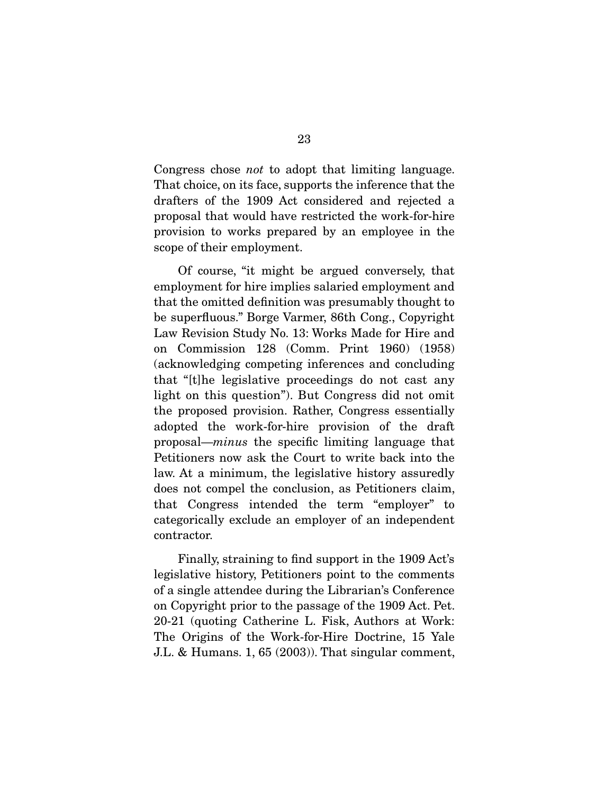Congress chose *not* to adopt that limiting language. That choice, on its face, supports the inference that the drafters of the 1909 Act considered and rejected a proposal that would have restricted the work-for-hire provision to works prepared by an employee in the scope of their employment.

 Of course, "it might be argued conversely, that employment for hire implies salaried employment and that the omitted definition was presumably thought to be superfluous." Borge Varmer, 86th Cong., Copyright Law Revision Study No. 13: Works Made for Hire and on Commission 128 (Comm. Print 1960) (1958) (acknowledging competing inferences and concluding that "[t]he legislative proceedings do not cast any light on this question"). But Congress did not omit the proposed provision. Rather, Congress essentially adopted the work-for-hire provision of the draft proposal—*minus* the specific limiting language that Petitioners now ask the Court to write back into the law. At a minimum, the legislative history assuredly does not compel the conclusion, as Petitioners claim, that Congress intended the term "employer" to categorically exclude an employer of an independent contractor.

 Finally, straining to find support in the 1909 Act's legislative history, Petitioners point to the comments of a single attendee during the Librarian's Conference on Copyright prior to the passage of the 1909 Act. Pet. 20-21 (quoting Catherine L. Fisk, Authors at Work: The Origins of the Work-for-Hire Doctrine, 15 Yale J.L. & Humans. 1, 65 (2003)). That singular comment,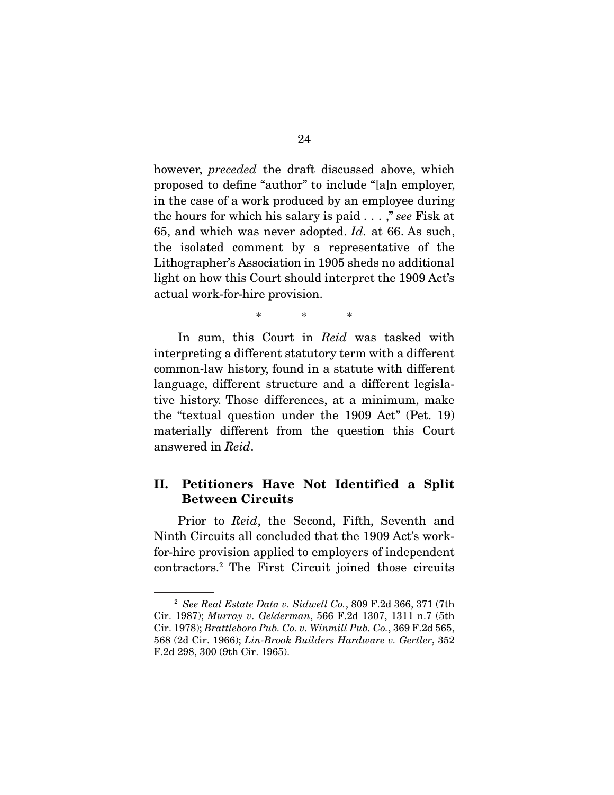however, *preceded* the draft discussed above, which proposed to define "author" to include "[a]n employer, in the case of a work produced by an employee during the hours for which his salary is paid . . . ," *see* Fisk at 65, and which was never adopted. *Id.* at 66. As such, the isolated comment by a representative of the Lithographer's Association in 1905 sheds no additional light on how this Court should interpret the 1909 Act's actual work-for-hire provision.

\* \* \*

 In sum, this Court in *Reid* was tasked with interpreting a different statutory term with a different common-law history, found in a statute with different language, different structure and a different legislative history. Those differences, at a minimum, make the "textual question under the 1909 Act" (Pet. 19) materially different from the question this Court answered in *Reid*.

### **II. Petitioners Have Not Identified a Split Between Circuits**

 Prior to *Reid*, the Second, Fifth, Seventh and Ninth Circuits all concluded that the 1909 Act's workfor-hire provision applied to employers of independent contractors.2 The First Circuit joined those circuits

<sup>2</sup> *See Real Estate Data v. Sidwell Co.*, 809 F.2d 366, 371 (7th Cir. 1987); *Murray v. Gelderman*, 566 F.2d 1307, 1311 n.7 (5th Cir. 1978); *Brattleboro Pub. Co. v. Winmill Pub. Co.*, 369 F.2d 565, 568 (2d Cir. 1966); *Lin-Brook Builders Hardware v. Gertler*, 352 F.2d 298, 300 (9th Cir. 1965).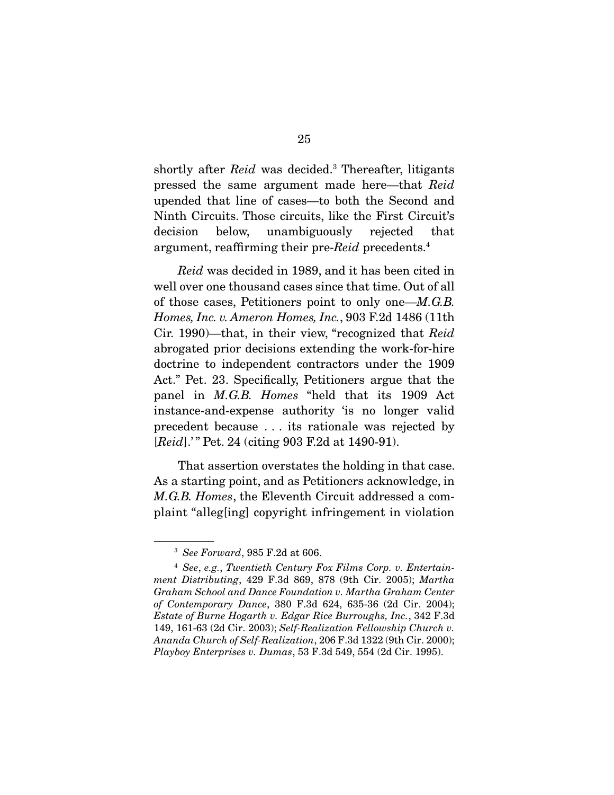shortly after *Reid* was decided.<sup>3</sup> Thereafter, litigants pressed the same argument made here—that *Reid*  upended that line of cases—to both the Second and Ninth Circuits. Those circuits, like the First Circuit's decision below, unambiguously rejected that argument, reaffirming their pre-*Reid* precedents.4

*Reid* was decided in 1989, and it has been cited in well over one thousand cases since that time. Out of all of those cases, Petitioners point to only one—*M.G.B. Homes, Inc. v. Ameron Homes, Inc.*, 903 F.2d 1486 (11th Cir. 1990)—that, in their view, "recognized that *Reid* abrogated prior decisions extending the work-for-hire doctrine to independent contractors under the 1909 Act." Pet. 23. Specifically, Petitioners argue that the panel in *M.G.B. Homes* "held that its 1909 Act instance-and-expense authority 'is no longer valid precedent because . . . its rationale was rejected by [*Reid*].'" Pet. 24 (citing 903 F.2d at 1490-91).

 That assertion overstates the holding in that case. As a starting point, and as Petitioners acknowledge, in *M.G.B. Homes*, the Eleventh Circuit addressed a complaint "alleg[ing] copyright infringement in violation

<sup>3</sup> *See Forward*, 985 F.2d at 606.

<sup>4</sup> *See*, *e.g.*, *Twentieth Century Fox Films Corp. v. Entertainment Distributing*, 429 F.3d 869, 878 (9th Cir. 2005); *Martha Graham School and Dance Foundation v. Martha Graham Center of Contemporary Dance*, 380 F.3d 624, 635-36 (2d Cir. 2004); *Estate of Burne Hogarth v. Edgar Rice Burroughs, Inc.*, 342 F.3d 149, 161-63 (2d Cir. 2003); *Self-Realization Fellowship Church v. Ananda Church of Self-Realization*, 206 F.3d 1322 (9th Cir. 2000); *Playboy Enterprises v. Dumas*, 53 F.3d 549, 554 (2d Cir. 1995).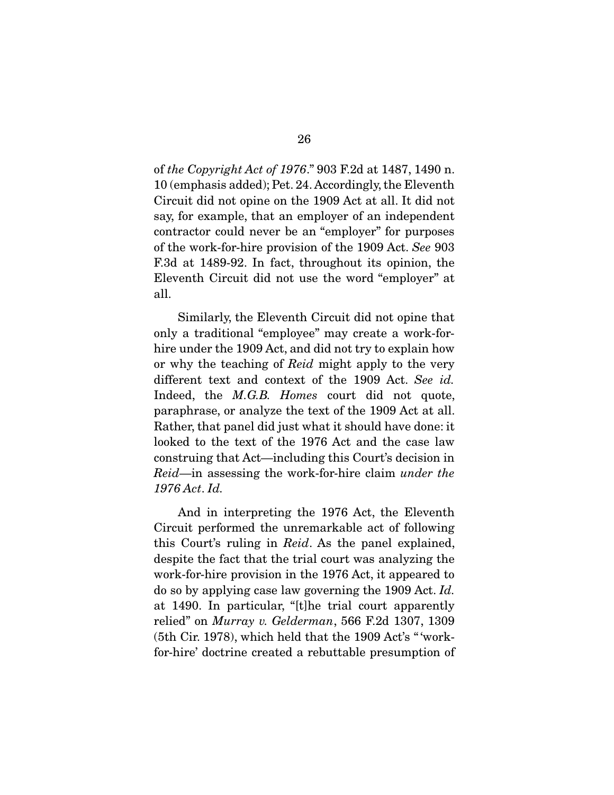of *the Copyright Act of 1976*." 903 F.2d at 1487, 1490 n. 10 (emphasis added); Pet. 24. Accordingly, the Eleventh Circuit did not opine on the 1909 Act at all. It did not say, for example, that an employer of an independent contractor could never be an "employer" for purposes of the work-for-hire provision of the 1909 Act. *See* 903 F.3d at 1489-92. In fact, throughout its opinion, the Eleventh Circuit did not use the word "employer" at all.

 Similarly, the Eleventh Circuit did not opine that only a traditional "employee" may create a work-forhire under the 1909 Act, and did not try to explain how or why the teaching of *Reid* might apply to the very different text and context of the 1909 Act. *See id.* Indeed, the *M.G.B. Homes* court did not quote, paraphrase, or analyze the text of the 1909 Act at all. Rather, that panel did just what it should have done: it looked to the text of the 1976 Act and the case law construing that Act—including this Court's decision in *Reid*—in assessing the work-for-hire claim *under the 1976 Act*. *Id.*

 And in interpreting the 1976 Act, the Eleventh Circuit performed the unremarkable act of following this Court's ruling in *Reid*. As the panel explained, despite the fact that the trial court was analyzing the work-for-hire provision in the 1976 Act, it appeared to do so by applying case law governing the 1909 Act. *Id.*  at 1490. In particular, "[t]he trial court apparently relied" on *Murray v. Gelderman*, 566 F.2d 1307, 1309 (5th Cir. 1978), which held that the 1909 Act's " 'workfor-hire' doctrine created a rebuttable presumption of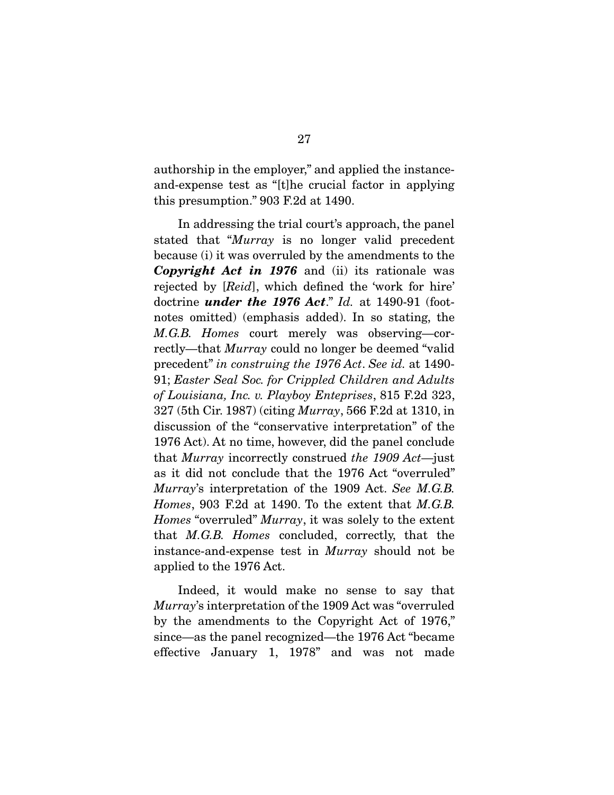authorship in the employer," and applied the instanceand-expense test as "[t]he crucial factor in applying this presumption." 903 F.2d at 1490.

 In addressing the trial court's approach, the panel stated that "*Murray* is no longer valid precedent because (i) it was overruled by the amendments to the *Copyright Act in 1976* and (ii) its rationale was rejected by [*Reid*], which defined the 'work for hire' doctrine *under the 1976 Act*." *Id.* at 1490-91 (footnotes omitted) (emphasis added). In so stating, the *M.G.B. Homes* court merely was observing—correctly—that *Murray* could no longer be deemed "valid precedent" *in construing the 1976 Act*. *See id.* at 1490- 91; *Easter Seal Soc. for Crippled Children and Adults of Louisiana, Inc. v. Playboy Enteprises*, 815 F.2d 323, 327 (5th Cir. 1987) (citing *Murray*, 566 F.2d at 1310, in discussion of the "conservative interpretation" of the 1976 Act). At no time, however, did the panel conclude that *Murray* incorrectly construed *the 1909 Act*—just as it did not conclude that the 1976 Act "overruled" *Murray*'s interpretation of the 1909 Act. *See M.G.B. Homes*, 903 F.2d at 1490. To the extent that *M.G.B. Homes* "overruled" *Murray*, it was solely to the extent that *M.G.B. Homes* concluded, correctly, that the instance-and-expense test in *Murray* should not be applied to the 1976 Act.

 Indeed, it would make no sense to say that *Murray*'s interpretation of the 1909 Act was "overruled by the amendments to the Copyright Act of 1976," since—as the panel recognized—the 1976 Act "became effective January 1, 1978" and was not made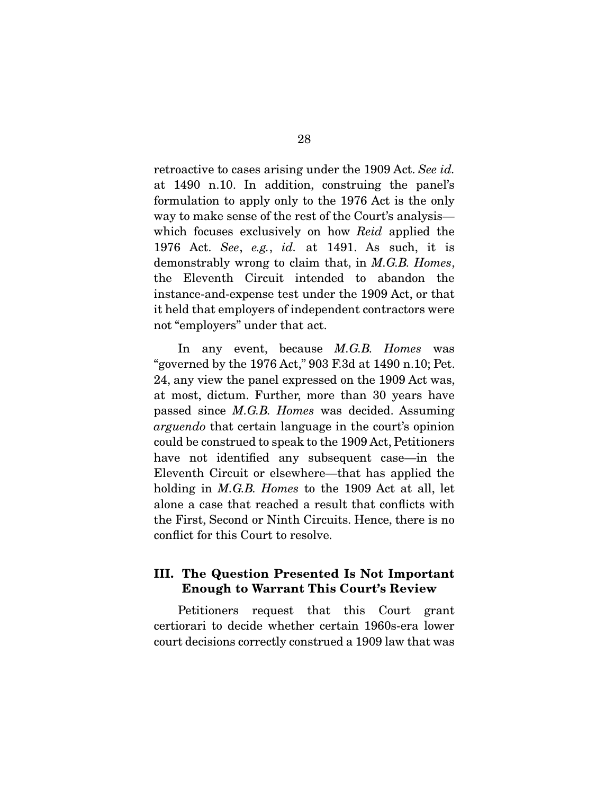retroactive to cases arising under the 1909 Act. *See id.*  at 1490 n.10. In addition, construing the panel's formulation to apply only to the 1976 Act is the only way to make sense of the rest of the Court's analysis which focuses exclusively on how *Reid* applied the 1976 Act. *See*, *e.g.*, *id.* at 1491. As such, it is demonstrably wrong to claim that, in *M.G.B. Homes*, the Eleventh Circuit intended to abandon the instance-and-expense test under the 1909 Act, or that it held that employers of independent contractors were not "employers" under that act.

 In any event, because *M.G.B. Homes* was "governed by the 1976 Act," 903 F.3d at 1490 n.10; Pet. 24, any view the panel expressed on the 1909 Act was, at most, dictum. Further, more than 30 years have passed since *M.G.B. Homes* was decided. Assuming *arguendo* that certain language in the court's opinion could be construed to speak to the 1909 Act, Petitioners have not identified any subsequent case—in the Eleventh Circuit or elsewhere—that has applied the holding in *M.G.B. Homes* to the 1909 Act at all, let alone a case that reached a result that conflicts with the First, Second or Ninth Circuits. Hence, there is no conflict for this Court to resolve.

## **III. The Question Presented Is Not Important Enough to Warrant This Court's Review**

 Petitioners request that this Court grant certiorari to decide whether certain 1960s-era lower court decisions correctly construed a 1909 law that was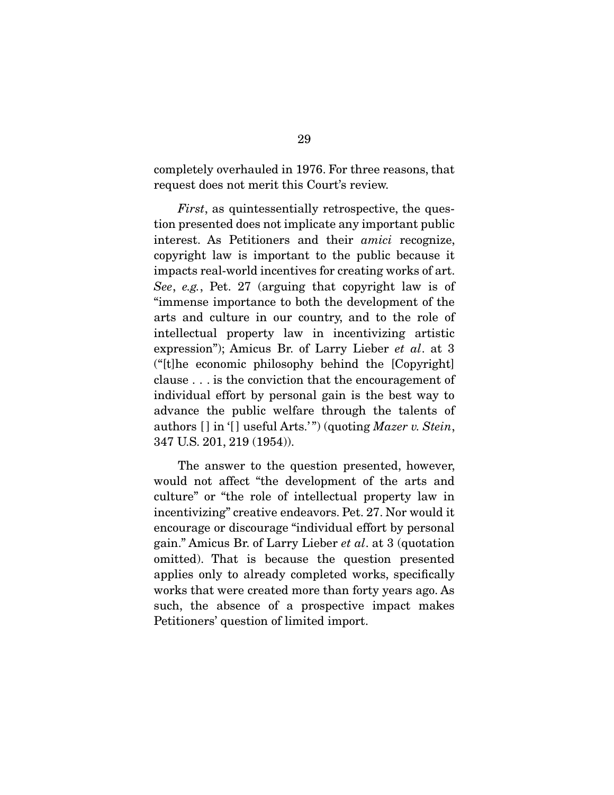completely overhauled in 1976. For three reasons, that request does not merit this Court's review.

*First*, as quintessentially retrospective, the question presented does not implicate any important public interest. As Petitioners and their *amici* recognize, copyright law is important to the public because it impacts real-world incentives for creating works of art. *See*, *e.g.*, Pet. 27 (arguing that copyright law is of "immense importance to both the development of the arts and culture in our country, and to the role of intellectual property law in incentivizing artistic expression"); Amicus Br. of Larry Lieber *et al*. at 3 ("[t]he economic philosophy behind the [Copyright] clause . . . is the conviction that the encouragement of individual effort by personal gain is the best way to advance the public welfare through the talents of authors [] in '[] useful Arts.'") (quoting *Mazer v. Stein*, 347 U.S. 201, 219 (1954)).

 The answer to the question presented, however, would not affect "the development of the arts and culture" or "the role of intellectual property law in incentivizing" creative endeavors. Pet. 27. Nor would it encourage or discourage "individual effort by personal gain." Amicus Br. of Larry Lieber *et al*. at 3 (quotation omitted). That is because the question presented applies only to already completed works, specifically works that were created more than forty years ago. As such, the absence of a prospective impact makes Petitioners' question of limited import.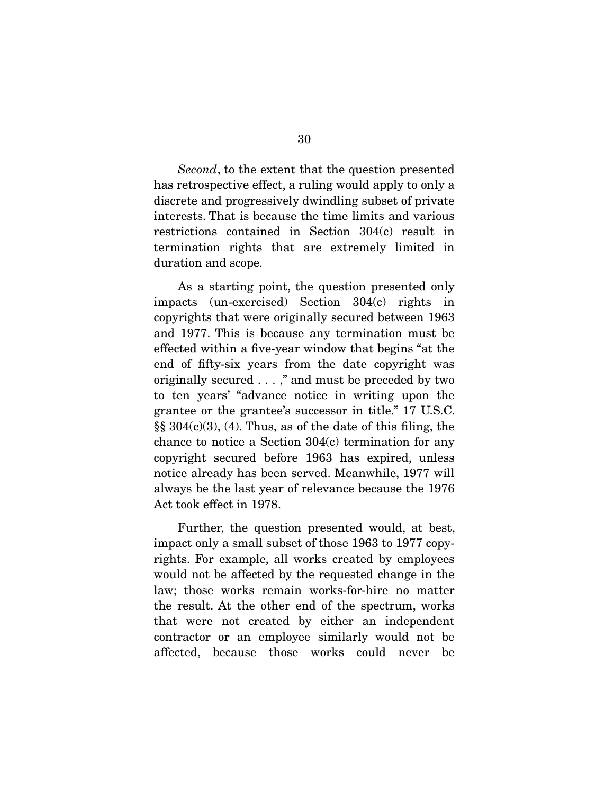*Second*, to the extent that the question presented has retrospective effect, a ruling would apply to only a discrete and progressively dwindling subset of private interests. That is because the time limits and various restrictions contained in Section 304(c) result in termination rights that are extremely limited in duration and scope.

 As a starting point, the question presented only impacts (un-exercised) Section 304(c) rights in copyrights that were originally secured between 1963 and 1977. This is because any termination must be effected within a five-year window that begins "at the end of fifty-six years from the date copyright was originally secured . . . ," and must be preceded by two to ten years' "advance notice in writing upon the grantee or the grantee's successor in title." 17 U.S.C.  $\S$ § 304(c)(3), (4). Thus, as of the date of this filing, the chance to notice a Section 304(c) termination for any copyright secured before 1963 has expired, unless notice already has been served. Meanwhile, 1977 will always be the last year of relevance because the 1976 Act took effect in 1978.

 Further, the question presented would, at best, impact only a small subset of those 1963 to 1977 copyrights. For example, all works created by employees would not be affected by the requested change in the law; those works remain works-for-hire no matter the result. At the other end of the spectrum, works that were not created by either an independent contractor or an employee similarly would not be affected, because those works could never be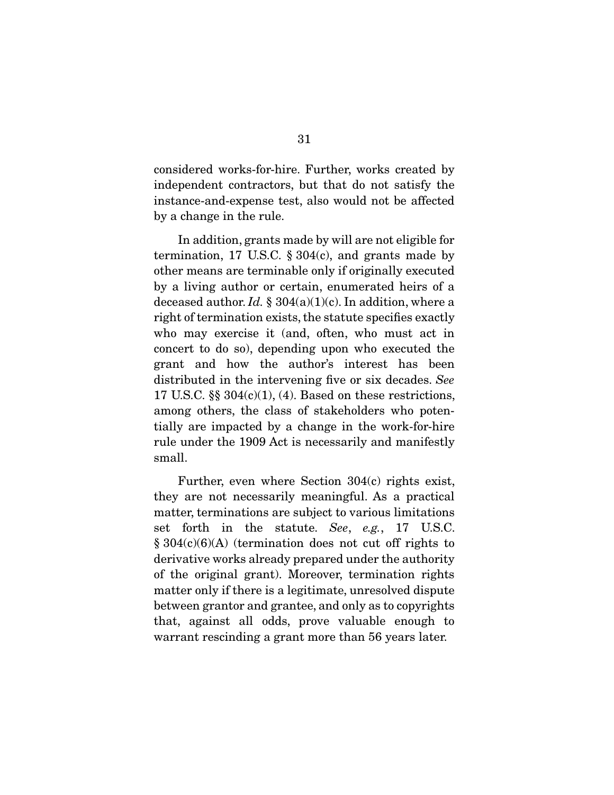considered works-for-hire. Further, works created by independent contractors, but that do not satisfy the instance-and-expense test, also would not be affected by a change in the rule.

 In addition, grants made by will are not eligible for termination, 17 U.S.C.  $\S 304(c)$ , and grants made by other means are terminable only if originally executed by a living author or certain, enumerated heirs of a deceased author. *Id.* § 304(a)(1)(c). In addition, where a right of termination exists, the statute specifies exactly who may exercise it (and, often, who must act in concert to do so), depending upon who executed the grant and how the author's interest has been distributed in the intervening five or six decades. *See*  17 U.S.C.  $\S$   $304(c)(1)$ , (4). Based on these restrictions, among others, the class of stakeholders who potentially are impacted by a change in the work-for-hire rule under the 1909 Act is necessarily and manifestly small.

 Further, even where Section 304(c) rights exist, they are not necessarily meaningful. As a practical matter, terminations are subject to various limitations set forth in the statute. *See*, *e.g.*, 17 U.S.C.  $§ 304(c)(6)(A)$  (termination does not cut off rights to derivative works already prepared under the authority of the original grant). Moreover, termination rights matter only if there is a legitimate, unresolved dispute between grantor and grantee, and only as to copyrights that, against all odds, prove valuable enough to warrant rescinding a grant more than 56 years later.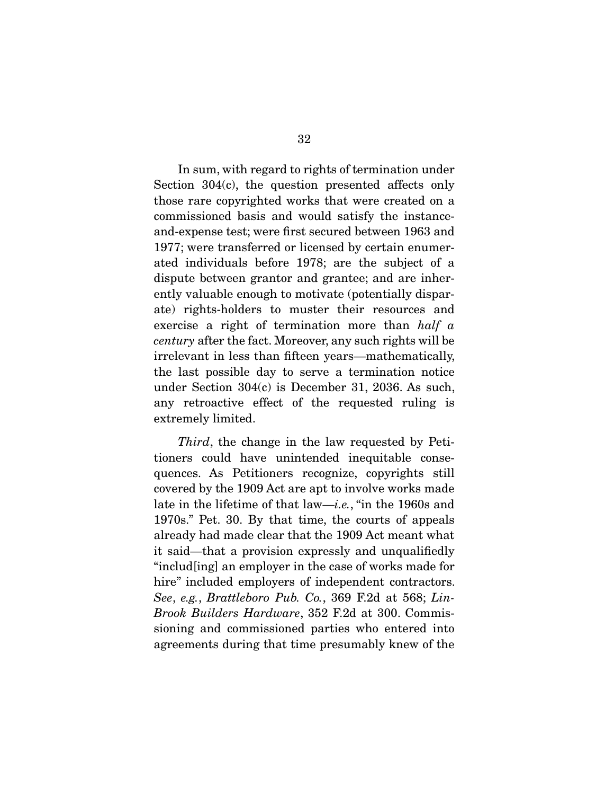In sum, with regard to rights of termination under Section 304(c), the question presented affects only those rare copyrighted works that were created on a commissioned basis and would satisfy the instanceand-expense test; were first secured between 1963 and 1977; were transferred or licensed by certain enumerated individuals before 1978; are the subject of a dispute between grantor and grantee; and are inherently valuable enough to motivate (potentially disparate) rights-holders to muster their resources and exercise a right of termination more than *half a century* after the fact. Moreover, any such rights will be irrelevant in less than fifteen years—mathematically, the last possible day to serve a termination notice under Section 304(c) is December 31, 2036. As such, any retroactive effect of the requested ruling is extremely limited.

*Third*, the change in the law requested by Petitioners could have unintended inequitable consequences. As Petitioners recognize, copyrights still covered by the 1909 Act are apt to involve works made late in the lifetime of that law—*i.e.*, "in the 1960s and 1970s." Pet. 30. By that time, the courts of appeals already had made clear that the 1909 Act meant what it said—that a provision expressly and unqualifiedly "includ[ing] an employer in the case of works made for hire" included employers of independent contractors. *See*, *e.g.*, *Brattleboro Pub. Co.*, 369 F.2d at 568; *Lin-Brook Builders Hardware*, 352 F.2d at 300. Commissioning and commissioned parties who entered into agreements during that time presumably knew of the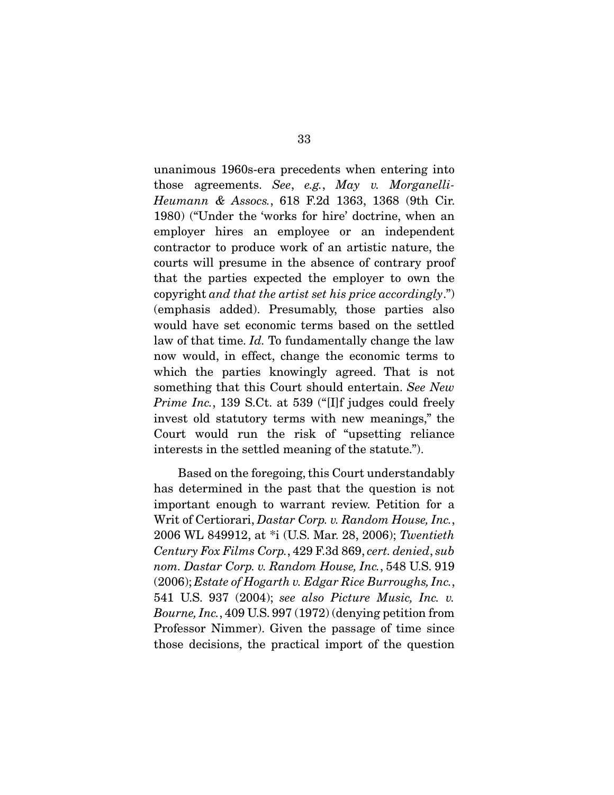unanimous 1960s-era precedents when entering into those agreements. *See*, *e.g.*, *May v. Morganelli-Heumann & Assocs.*, 618 F.2d 1363, 1368 (9th Cir. 1980) ("Under the 'works for hire' doctrine, when an employer hires an employee or an independent contractor to produce work of an artistic nature, the courts will presume in the absence of contrary proof that the parties expected the employer to own the copyright *and that the artist set his price accordingly*.") (emphasis added). Presumably, those parties also would have set economic terms based on the settled law of that time. *Id.* To fundamentally change the law now would, in effect, change the economic terms to which the parties knowingly agreed. That is not something that this Court should entertain. *See New Prime Inc.*, 139 S.Ct. at 539 ("[I]f judges could freely invest old statutory terms with new meanings," the Court would run the risk of "upsetting reliance interests in the settled meaning of the statute.").

 Based on the foregoing, this Court understandably has determined in the past that the question is not important enough to warrant review. Petition for a Writ of Certiorari, *Dastar Corp. v. Random House, Inc.*, 2006 WL 849912, at \*i (U.S. Mar. 28, 2006); *Twentieth Century Fox Films Corp.*, 429 F.3d 869, *cert. denied*, *sub nom. Dastar Corp. v. Random House, Inc.*, 548 U.S. 919 (2006); *Estate of Hogarth v. Edgar Rice Burroughs, Inc.*, 541 U.S. 937 (2004); *see also Picture Music, Inc. v. Bourne, Inc.*, 409 U.S. 997 (1972) (denying petition from Professor Nimmer). Given the passage of time since those decisions, the practical import of the question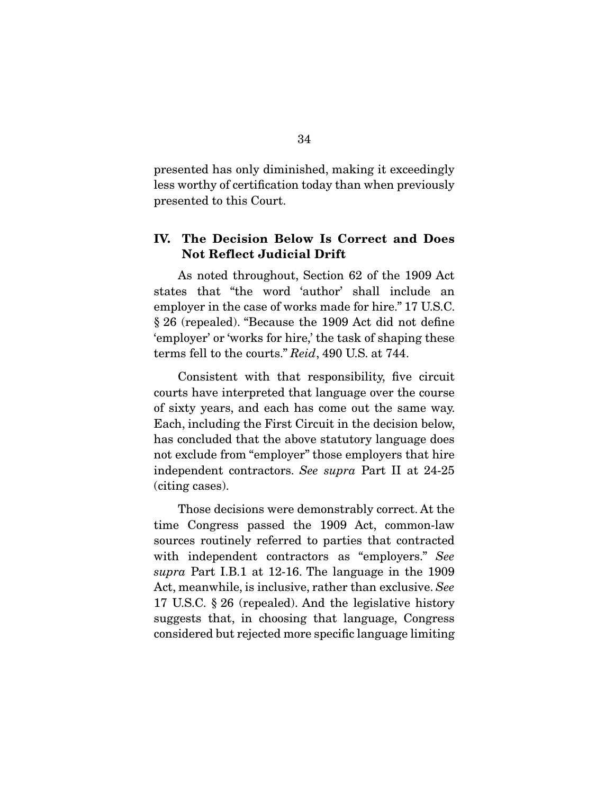presented has only diminished, making it exceedingly less worthy of certification today than when previously presented to this Court.

## **IV. The Decision Below Is Correct and Does Not Reflect Judicial Drift**

 As noted throughout, Section 62 of the 1909 Act states that "the word 'author' shall include an employer in the case of works made for hire." 17 U.S.C. § 26 (repealed). "Because the 1909 Act did not define 'employer' or 'works for hire,' the task of shaping these terms fell to the courts." *Reid*, 490 U.S. at 744.

 Consistent with that responsibility, five circuit courts have interpreted that language over the course of sixty years, and each has come out the same way. Each, including the First Circuit in the decision below, has concluded that the above statutory language does not exclude from "employer" those employers that hire independent contractors. *See supra* Part II at 24-25 (citing cases).

 Those decisions were demonstrably correct. At the time Congress passed the 1909 Act, common-law sources routinely referred to parties that contracted with independent contractors as "employers." *See supra* Part I.B.1 at 12-16. The language in the 1909 Act, meanwhile, is inclusive, rather than exclusive. *See*  17 U.S.C. § 26 (repealed). And the legislative history suggests that, in choosing that language, Congress considered but rejected more specific language limiting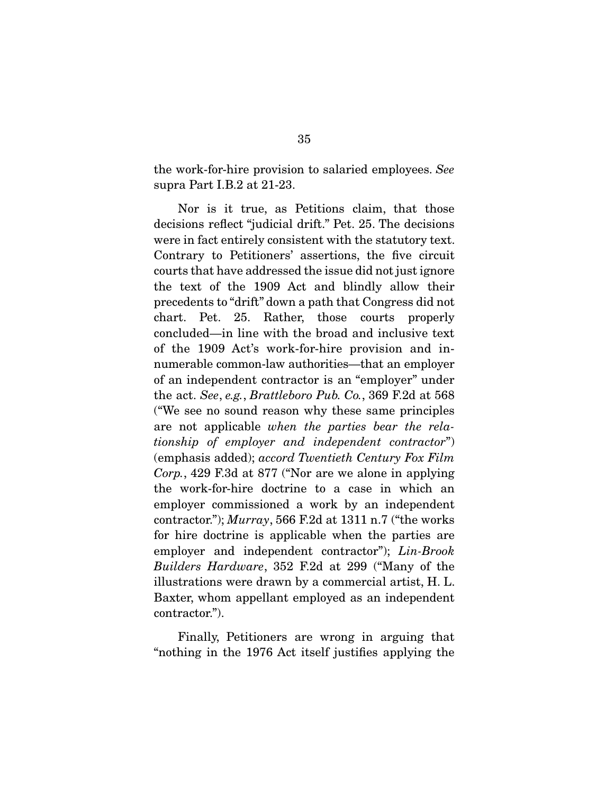the work-for-hire provision to salaried employees. *See*  supra Part I.B.2 at 21-23.

 Nor is it true, as Petitions claim, that those decisions reflect "judicial drift." Pet. 25. The decisions were in fact entirely consistent with the statutory text. Contrary to Petitioners' assertions, the five circuit courts that have addressed the issue did not just ignore the text of the 1909 Act and blindly allow their precedents to "drift" down a path that Congress did not chart. Pet. 25. Rather, those courts properly concluded—in line with the broad and inclusive text of the 1909 Act's work-for-hire provision and innumerable common-law authorities—that an employer of an independent contractor is an "employer" under the act. *See*, *e.g.*, *Brattleboro Pub. Co.*, 369 F.2d at 568 ("We see no sound reason why these same principles are not applicable *when the parties bear the relationship of employer and independent contractor*") (emphasis added); *accord Twentieth Century Fox Film Corp.*, 429 F.3d at 877 ("Nor are we alone in applying the work-for-hire doctrine to a case in which an employer commissioned a work by an independent contractor."); *Murray*, 566 F.2d at 1311 n.7 ("the works for hire doctrine is applicable when the parties are employer and independent contractor"); *Lin-Brook Builders Hardware*, 352 F.2d at 299 ("Many of the illustrations were drawn by a commercial artist, H. L. Baxter, whom appellant employed as an independent contractor.").

 Finally, Petitioners are wrong in arguing that "nothing in the 1976 Act itself justifies applying the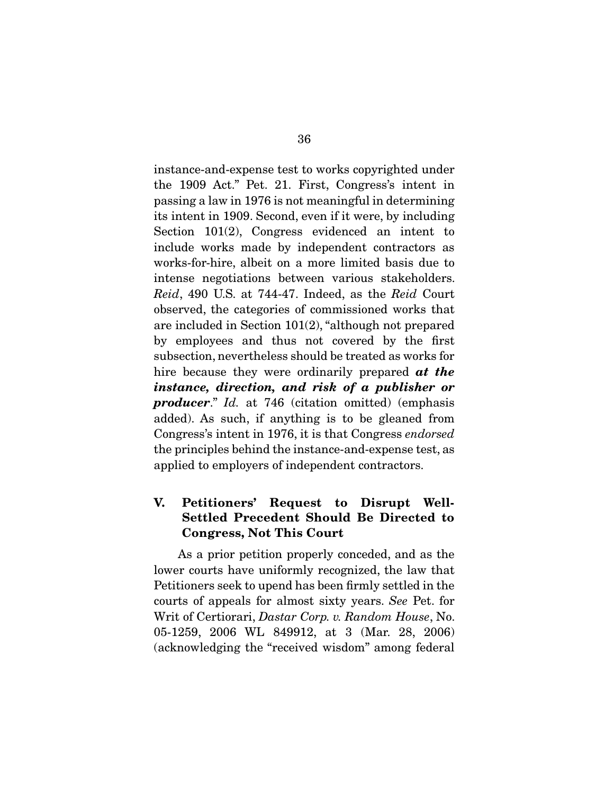instance-and-expense test to works copyrighted under the 1909 Act." Pet. 21. First, Congress's intent in passing a law in 1976 is not meaningful in determining its intent in 1909. Second, even if it were, by including Section 101(2), Congress evidenced an intent to include works made by independent contractors as works-for-hire, albeit on a more limited basis due to intense negotiations between various stakeholders. *Reid*, 490 U.S. at 744-47. Indeed, as the *Reid* Court observed, the categories of commissioned works that are included in Section 101(2), "although not prepared by employees and thus not covered by the first subsection, nevertheless should be treated as works for hire because they were ordinarily prepared *at the instance, direction, and risk of a publisher or producer*." *Id.* at 746 (citation omitted) (emphasis added). As such, if anything is to be gleaned from Congress's intent in 1976, it is that Congress *endorsed* the principles behind the instance-and-expense test, as applied to employers of independent contractors.

## **V. Petitioners' Request to Disrupt Well-Settled Precedent Should Be Directed to Congress, Not This Court**

 As a prior petition properly conceded, and as the lower courts have uniformly recognized, the law that Petitioners seek to upend has been firmly settled in the courts of appeals for almost sixty years. *See* Pet. for Writ of Certiorari, *Dastar Corp. v. Random House*, No. 05-1259, 2006 WL 849912, at 3 (Mar. 28, 2006) (acknowledging the "received wisdom" among federal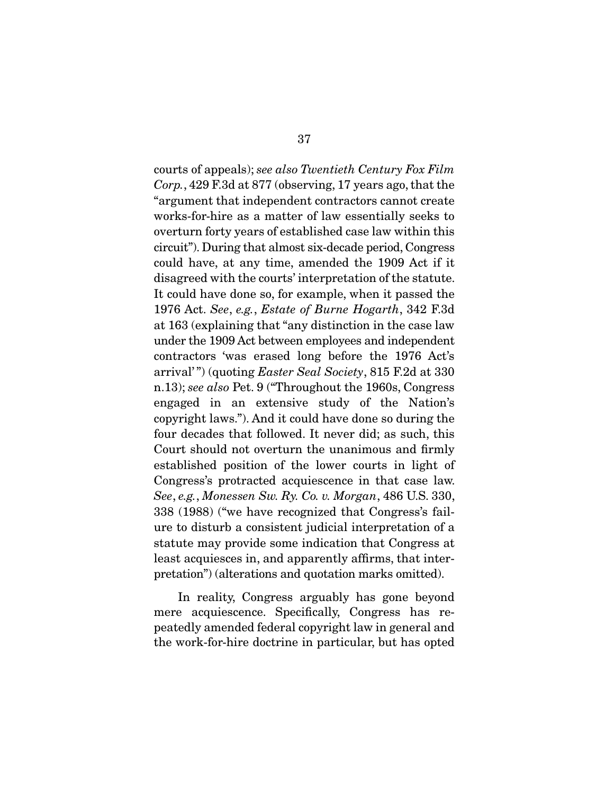courts of appeals); *see also Twentieth Century Fox Film Corp.*, 429 F.3d at 877 (observing, 17 years ago, that the "argument that independent contractors cannot create works-for-hire as a matter of law essentially seeks to overturn forty years of established case law within this circuit"). During that almost six-decade period, Congress could have, at any time, amended the 1909 Act if it disagreed with the courts' interpretation of the statute. It could have done so, for example, when it passed the 1976 Act. *See*, *e.g.*, *Estate of Burne Hogarth*, 342 F.3d at 163 (explaining that "any distinction in the case law under the 1909 Act between employees and independent contractors 'was erased long before the 1976 Act's arrival' ") (quoting *Easter Seal Society*, 815 F.2d at 330 n.13); *see also* Pet. 9 ("Throughout the 1960s, Congress engaged in an extensive study of the Nation's copyright laws."). And it could have done so during the four decades that followed. It never did; as such, this Court should not overturn the unanimous and firmly established position of the lower courts in light of Congress's protracted acquiescence in that case law. *See*, *e.g.*, *Monessen Sw. Ry. Co. v. Morgan*, 486 U.S. 330, 338 (1988) ("we have recognized that Congress's failure to disturb a consistent judicial interpretation of a statute may provide some indication that Congress at least acquiesces in, and apparently affirms, that interpretation") (alterations and quotation marks omitted).

 In reality, Congress arguably has gone beyond mere acquiescence. Specifically, Congress has repeatedly amended federal copyright law in general and the work-for-hire doctrine in particular, but has opted